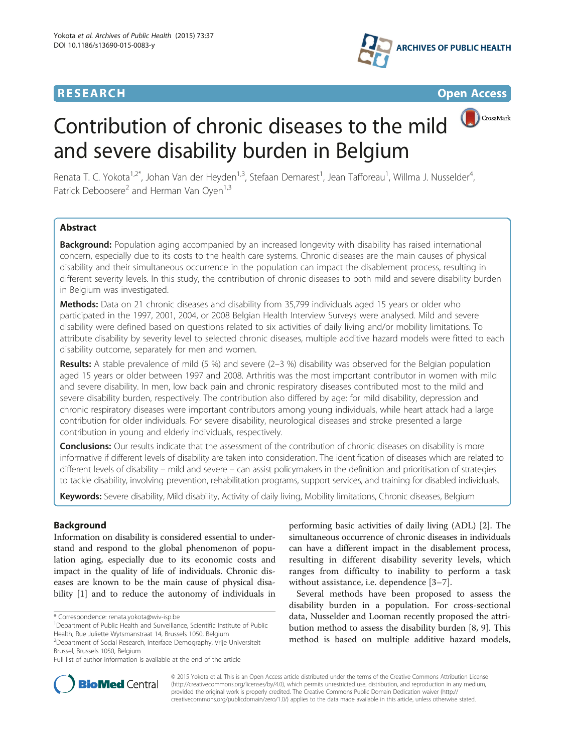# **RESEARCH RESEARCH** *CHECK CHECK CHECK CHECK CHECK CHECK CHECK CHECK CHECK CHECK CHECK CHECK CHECK CHECK CHECK CHECK CHECK CHECK CHECK CHECK CHECK CHECK CHECK CHECK CHECK CHECK CHECK CHECK CHECK CHECK CHECK CHECK CHECK*





CrossMark

# Contribution of chronic diseases to the mild and severe disability burden in Belgium

Renata T. C. Yokota<sup>1,2\*</sup>, Johan Van der Heyden<sup>1,3</sup>, Stefaan Demarest<sup>1</sup>, Jean Tafforeau<sup>1</sup>, Willma J. Nusselder<sup>4</sup> , Patrick Deboosere<sup>2</sup> and Herman Van Oyen<sup>1,3</sup>

# Abstract

Background: Population aging accompanied by an increased longevity with disability has raised international concern, especially due to its costs to the health care systems. Chronic diseases are the main causes of physical disability and their simultaneous occurrence in the population can impact the disablement process, resulting in different severity levels. In this study, the contribution of chronic diseases to both mild and severe disability burden in Belgium was investigated.

Methods: Data on 21 chronic diseases and disability from 35,799 individuals aged 15 years or older who participated in the 1997, 2001, 2004, or 2008 Belgian Health Interview Surveys were analysed. Mild and severe disability were defined based on questions related to six activities of daily living and/or mobility limitations. To attribute disability by severity level to selected chronic diseases, multiple additive hazard models were fitted to each disability outcome, separately for men and women.

Results: A stable prevalence of mild (5 %) and severe (2–3 %) disability was observed for the Belgian population aged 15 years or older between 1997 and 2008. Arthritis was the most important contributor in women with mild and severe disability. In men, low back pain and chronic respiratory diseases contributed most to the mild and severe disability burden, respectively. The contribution also differed by age: for mild disability, depression and chronic respiratory diseases were important contributors among young individuals, while heart attack had a large contribution for older individuals. For severe disability, neurological diseases and stroke presented a large contribution in young and elderly individuals, respectively.

Conclusions: Our results indicate that the assessment of the contribution of chronic diseases on disability is more informative if different levels of disability are taken into consideration. The identification of diseases which are related to different levels of disability – mild and severe – can assist policymakers in the definition and prioritisation of strategies to tackle disability, involving prevention, rehabilitation programs, support services, and training for disabled individuals.

Keywords: Severe disability, Mild disability, Activity of daily living, Mobility limitations, Chronic diseases, Belgium

# Background

Information on disability is considered essential to understand and respond to the global phenomenon of population aging, especially due to its economic costs and impact in the quality of life of individuals. Chronic diseases are known to be the main cause of physical disability [\[1](#page-16-0)] and to reduce the autonomy of individuals in

performing basic activities of daily living (ADL) [[2\]](#page-16-0). The simultaneous occurrence of chronic diseases in individuals can have a different impact in the disablement process, resulting in different disability severity levels, which ranges from difficulty to inability to perform a task without assistance, i.e. dependence [\[3](#page-16-0)–[7](#page-16-0)].

Several methods have been proposed to assess the disability burden in a population. For cross-sectional data, Nusselder and Looman recently proposed the attribution method to assess the disability burden [\[8](#page-16-0), [9](#page-16-0)]. This method is based on multiple additive hazard models,



© 2015 Yokota et al. This is an Open Access article distributed under the terms of the Creative Commons Attribution License [\(http://creativecommons.org/licenses/by/4.0\)](http://creativecommons.org/licenses/by/4.0), which permits unrestricted use, distribution, and reproduction in any medium, provided the original work is properly credited. The Creative Commons Public Domain Dedication waiver [\(http://](http://creativecommons.org/publicdomain/zero/1.0/) [creativecommons.org/publicdomain/zero/1.0/\)](http://creativecommons.org/publicdomain/zero/1.0/) applies to the data made available in this article, unless otherwise stated.

<sup>\*</sup> Correspondence: [renata.yokota@wiv-isp.be](mailto:renata.yokota@wiv-isp.be) <sup>1</sup>

<sup>&</sup>lt;sup>1</sup>Department of Public Health and Surveillance, Scientific Institute of Public Health, Rue Juliette Wytsmanstraat 14, Brussels 1050, Belgium

<sup>&</sup>lt;sup>2</sup> Department of Social Research, Interface Demography, Vrije Universiteit Brussel, Brussels 1050, Belgium

Full list of author information is available at the end of the article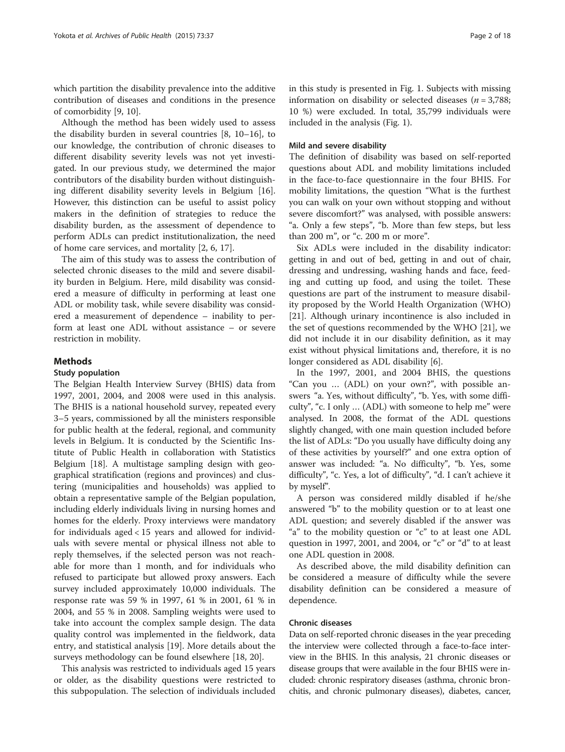which partition the disability prevalence into the additive contribution of diseases and conditions in the presence of comorbidity [\[9](#page-16-0), [10](#page-16-0)].

Although the method has been widely used to assess the disability burden in several countries [\[8](#page-16-0), [10](#page-16-0)–[16\]](#page-17-0), to our knowledge, the contribution of chronic diseases to different disability severity levels was not yet investigated. In our previous study, we determined the major contributors of the disability burden without distinguishing different disability severity levels in Belgium [\[16](#page-17-0)]. However, this distinction can be useful to assist policy makers in the definition of strategies to reduce the disability burden, as the assessment of dependence to perform ADLs can predict institutionalization, the need of home care services, and mortality [\[2, 6,](#page-16-0) [17\]](#page-17-0).

The aim of this study was to assess the contribution of selected chronic diseases to the mild and severe disability burden in Belgium. Here, mild disability was considered a measure of difficulty in performing at least one ADL or mobility task, while severe disability was considered a measurement of dependence – inability to perform at least one ADL without assistance – or severe restriction in mobility.

## Methods

#### Study population

The Belgian Health Interview Survey (BHIS) data from 1997, 2001, 2004, and 2008 were used in this analysis. The BHIS is a national household survey, repeated every 3–5 years, commissioned by all the ministers responsible for public health at the federal, regional, and community levels in Belgium. It is conducted by the Scientific Institute of Public Health in collaboration with Statistics Belgium [\[18](#page-17-0)]. A multistage sampling design with geographical stratification (regions and provinces) and clustering (municipalities and households) was applied to obtain a representative sample of the Belgian population, including elderly individuals living in nursing homes and homes for the elderly. Proxy interviews were mandatory for individuals aged < 15 years and allowed for individuals with severe mental or physical illness not able to reply themselves, if the selected person was not reachable for more than 1 month, and for individuals who refused to participate but allowed proxy answers. Each survey included approximately 10,000 individuals. The response rate was 59 % in 1997, 61 % in 2001, 61 % in 2004, and 55 % in 2008. Sampling weights were used to take into account the complex sample design. The data quality control was implemented in the fieldwork, data entry, and statistical analysis [\[19\]](#page-17-0). More details about the surveys methodology can be found elsewhere [\[18](#page-17-0), [20](#page-17-0)].

This analysis was restricted to individuals aged 15 years or older, as the disability questions were restricted to this subpopulation. The selection of individuals included in this study is presented in Fig. [1](#page-2-0). Subjects with missing information on disability or selected diseases ( $n = 3,788$ ; 10 %) were excluded. In total, 35,799 individuals were included in the analysis (Fig. [1](#page-2-0)).

### Mild and severe disability

The definition of disability was based on self-reported questions about ADL and mobility limitations included in the face-to-face questionnaire in the four BHIS. For mobility limitations, the question "What is the furthest you can walk on your own without stopping and without severe discomfort?" was analysed, with possible answers: "a. Only a few steps", "b. More than few steps, but less than 200 m", or "c. 200 m or more".

Six ADLs were included in the disability indicator: getting in and out of bed, getting in and out of chair, dressing and undressing, washing hands and face, feeding and cutting up food, and using the toilet. These questions are part of the instrument to measure disability proposed by the World Health Organization (WHO) [[21\]](#page-17-0). Although urinary incontinence is also included in the set of questions recommended by the WHO [\[21](#page-17-0)], we did not include it in our disability definition, as it may exist without physical limitations and, therefore, it is no longer considered as ADL disability [[6\]](#page-16-0).

In the 1997, 2001, and 2004 BHIS, the questions "Can you … (ADL) on your own?", with possible answers "a. Yes, without difficulty", "b. Yes, with some difficulty", "c. I only … (ADL) with someone to help me" were analysed. In 2008, the format of the ADL questions slightly changed, with one main question included before the list of ADLs: "Do you usually have difficulty doing any of these activities by yourself?" and one extra option of answer was included: "a. No difficulty", "b. Yes, some difficulty", "c. Yes, a lot of difficulty", "d. I can't achieve it by myself".

A person was considered mildly disabled if he/she answered "b" to the mobility question or to at least one ADL question; and severely disabled if the answer was "a" to the mobility question or "c" to at least one ADL question in 1997, 2001, and 2004, or "c" or "d" to at least one ADL question in 2008.

As described above, the mild disability definition can be considered a measure of difficulty while the severe disability definition can be considered a measure of dependence.

### Chronic diseases

Data on self-reported chronic diseases in the year preceding the interview were collected through a face-to-face interview in the BHIS. In this analysis, 21 chronic diseases or disease groups that were available in the four BHIS were included: chronic respiratory diseases (asthma, chronic bronchitis, and chronic pulmonary diseases), diabetes, cancer,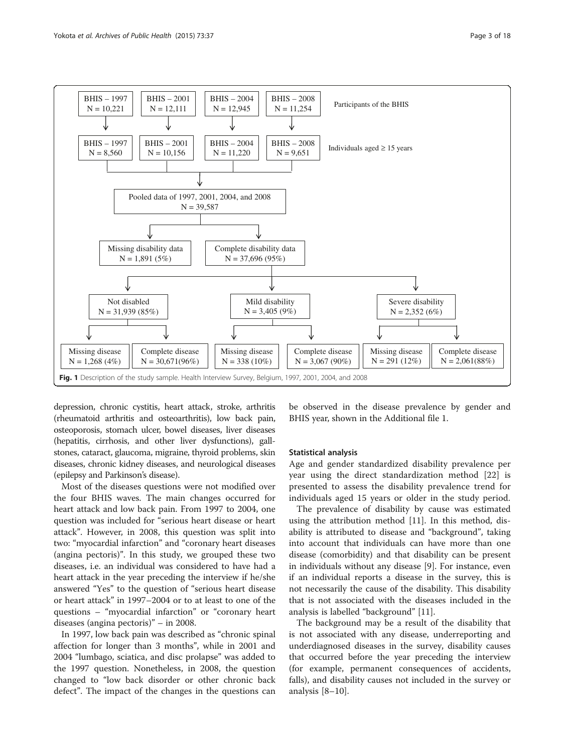<span id="page-2-0"></span>

depression, chronic cystitis, heart attack, stroke, arthritis (rheumatoid arthritis and osteoarthritis), low back pain, osteoporosis, stomach ulcer, bowel diseases, liver diseases (hepatitis, cirrhosis, and other liver dysfunctions), gallstones, cataract, glaucoma, migraine, thyroid problems, skin diseases, chronic kidney diseases, and neurological diseases (epilepsy and Parkinson's disease).

Most of the diseases questions were not modified over the four BHIS waves. The main changes occurred for heart attack and low back pain. From 1997 to 2004, one question was included for "serious heart disease or heart attack". However, in 2008, this question was split into two: "myocardial infarction" and "coronary heart diseases (angina pectoris)". In this study, we grouped these two diseases, i.e. an individual was considered to have had a heart attack in the year preceding the interview if he/she answered "Yes" to the question of "serious heart disease or heart attack" in 1997–2004 or to at least to one of the questions – "myocardial infarction" or "coronary heart diseases (angina pectoris)" – in 2008.

In 1997, low back pain was described as "chronic spinal affection for longer than 3 months", while in 2001 and 2004 "lumbago, sciatica, and disc prolapse" was added to the 1997 question. Nonetheless, in 2008, the question changed to "low back disorder or other chronic back defect". The impact of the changes in the questions can be observed in the disease prevalence by gender and BHIS year, shown in the Additional file [1.](#page-16-0)

# Statistical analysis

Age and gender standardized disability prevalence per year using the direct standardization method [\[22](#page-17-0)] is presented to assess the disability prevalence trend for individuals aged 15 years or older in the study period.

The prevalence of disability by cause was estimated using the attribution method [\[11](#page-16-0)]. In this method, disability is attributed to disease and "background", taking into account that individuals can have more than one disease (comorbidity) and that disability can be present in individuals without any disease [\[9](#page-16-0)]. For instance, even if an individual reports a disease in the survey, this is not necessarily the cause of the disability. This disability that is not associated with the diseases included in the analysis is labelled "background" [[11\]](#page-16-0).

The background may be a result of the disability that is not associated with any disease, underreporting and underdiagnosed diseases in the survey, disability causes that occurred before the year preceding the interview (for example, permanent consequences of accidents, falls), and disability causes not included in the survey or analysis [\[8](#page-16-0)–[10\]](#page-16-0).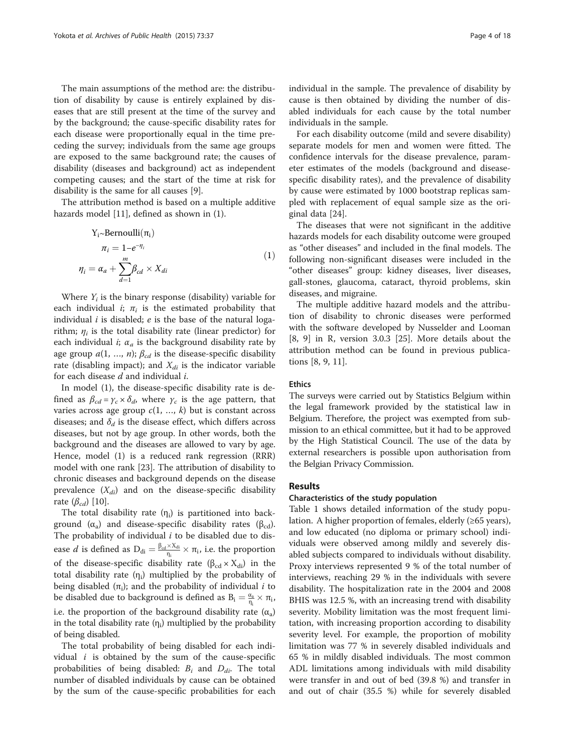The main assumptions of the method are: the distribution of disability by cause is entirely explained by diseases that are still present at the time of the survey and by the background; the cause-specific disability rates for each disease were proportionally equal in the time preceding the survey; individuals from the same age groups are exposed to the same background rate; the causes of disability (diseases and background) act as independent competing causes; and the start of the time at risk for disability is the same for all causes [[9\]](#page-16-0).

The attribution method is based on a multiple additive hazards model [\[11](#page-16-0)], defined as shown in (1).

$$
Y_{i} \sim Bernoulli(\pi_{i})
$$
  
\n
$$
\pi_{i} = 1 - e^{-\eta_{i}}
$$
  
\n
$$
\eta_{i} = \alpha_{a} + \sum_{d=1}^{m} \beta_{cd} \times X_{di}
$$
\n(1)

Where  $Y_i$  is the binary response (disability) variable for each individual *i*;  $\pi$ <sub>i</sub> is the estimated probability that individual  $i$  is disabled;  $e$  is the base of the natural logarithm;  $\eta_i$  is the total disability rate (linear predictor) for each individual *i*;  $\alpha_a$  is the background disability rate by age group  $a(1, ..., n)$ ;  $\beta_{cd}$  is the disease-specific disability rate (disabling impact); and  $X_{di}$  is the indicator variable for each disease  $d$  and individual  $i$ .

In model (1), the disease-specific disability rate is defined as  $\beta_{cd} = \gamma_c \times \delta_d$ , where  $\gamma_c$  is the age pattern, that varies across age group  $c(1, ..., k)$  but is constant across diseases; and  $\delta_d$  is the disease effect, which differs across diseases, but not by age group. In other words, both the background and the diseases are allowed to vary by age. Hence, model (1) is a reduced rank regression (RRR) model with one rank [\[23](#page-17-0)]. The attribution of disability to chronic diseases and background depends on the disease prevalence  $(X_{di})$  and on the disease-specific disability rate  $(\beta_{cd})$  [[10\]](#page-16-0).

The total disability rate  $(\eta_i)$  is partitioned into background ( $\alpha_a$ ) and disease-specific disability rates ( $\beta_{cd}$ ). The probability of individual  $i$  to be disabled due to disease *d* is defined as  $D_{di} = \frac{\beta_{cd} \times X_{di}}{\eta_i}$  $\frac{d \times \Lambda_{di}}{\eta_i} \times \pi_i$ , i.e. the proportion of the disease-specific disability rate  $(\beta_{cd} \times X_{di})$  in the total disability rate  $(\eta_i)$  multiplied by the probability of being disabled  $(\pi_i)$ ; and the probability of individual *i* to be disabled due to background is defined as  $B_i = \frac{\alpha_a}{\eta_i} \times \pi_i$ , i.e. the proportion of the background disability rate  $(\alpha_a)$ in the total disability rate  $(\eta_i)$  multiplied by the probability of being disabled.

The total probability of being disabled for each individual  $i$  is obtained by the sum of the cause-specific probabilities of being disabled:  $B_i$  and  $D_{di}$ . The total number of disabled individuals by cause can be obtained by the sum of the cause-specific probabilities for each individual in the sample. The prevalence of disability by cause is then obtained by dividing the number of disabled individuals for each cause by the total number individuals in the sample.

For each disability outcome (mild and severe disability) separate models for men and women were fitted. The confidence intervals for the disease prevalence, parameter estimates of the models (background and diseasespecific disability rates), and the prevalence of disability by cause were estimated by 1000 bootstrap replicas sampled with replacement of equal sample size as the original data [[24](#page-17-0)].

The diseases that were not significant in the additive hazards models for each disability outcome were grouped as "other diseases" and included in the final models. The following non-significant diseases were included in the "other diseases" group: kidney diseases, liver diseases, gall-stones, glaucoma, cataract, thyroid problems, skin diseases, and migraine.

The multiple additive hazard models and the attribution of disability to chronic diseases were performed with the software developed by Nusselder and Looman [[8, 9\]](#page-16-0) in R, version 3.0.3 [[25\]](#page-17-0). More details about the attribution method can be found in previous publications [[8, 9, 11\]](#page-16-0).

# Ethics

The surveys were carried out by Statistics Belgium within the legal framework provided by the statistical law in Belgium. Therefore, the project was exempted from submission to an ethical committee, but it had to be approved by the High Statistical Council. The use of the data by external researchers is possible upon authorisation from the Belgian Privacy Commission.

# Results

#### Characteristics of the study population

Table [1](#page-4-0) shows detailed information of the study population. A higher proportion of females, elderly (≥65 years), and low educated (no diploma or primary school) individuals were observed among mildly and severely disabled subjects compared to individuals without disability. Proxy interviews represented 9 % of the total number of interviews, reaching 29 % in the individuals with severe disability. The hospitalization rate in the 2004 and 2008 BHIS was 12.5 %, with an increasing trend with disability severity. Mobility limitation was the most frequent limitation, with increasing proportion according to disability severity level. For example, the proportion of mobility limitation was 77 % in severely disabled individuals and 65 % in mildly disabled individuals. The most common ADL limitations among individuals with mild disability were transfer in and out of bed (39.8 %) and transfer in and out of chair (35.5 %) while for severely disabled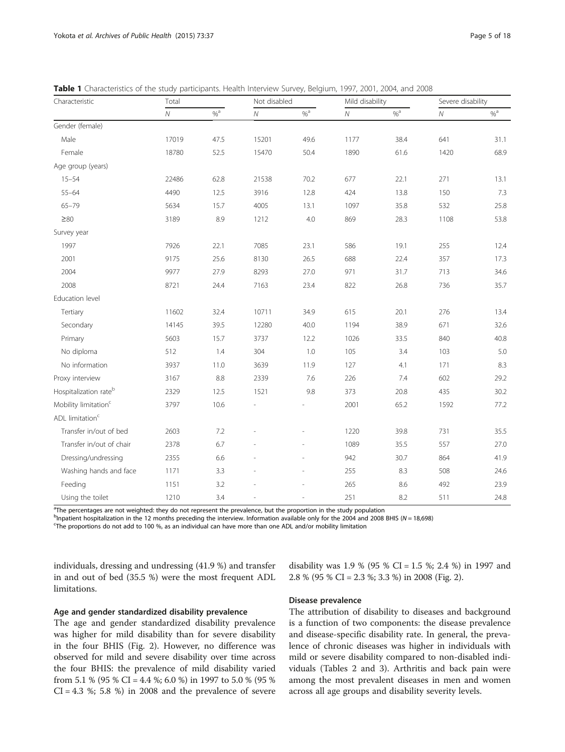| Page 5 of 18 |  |  |
|--------------|--|--|

| Characteristic                    | Total      |      | Not disabled |          | Mild disability |                   | Severe disability |                   |
|-----------------------------------|------------|------|--------------|----------|-----------------|-------------------|-------------------|-------------------|
|                                   | ${\cal N}$ | $\%$ | ${\cal N}$   | $% ^{a}$ | ${\cal N}$      | $\%$ <sup>a</sup> | ${\cal N}$        | $\%$ <sup>a</sup> |
| Gender (female)                   |            |      |              |          |                 |                   |                   |                   |
| Male                              | 17019      | 47.5 | 15201        | 49.6     | 1177            | 38.4              | 641               | 31.1              |
| Female                            | 18780      | 52.5 | 15470        | 50.4     | 1890            | 61.6              | 1420              | 68.9              |
| Age group (years)                 |            |      |              |          |                 |                   |                   |                   |
| $15 - 54$                         | 22486      | 62.8 | 21538        | 70.2     | 677             | 22.1              | 271               | 13.1              |
| $55 - 64$                         | 4490       | 12.5 | 3916         | 12.8     | 424             | 13.8              | 150               | 7.3               |
| $65 - 79$                         | 5634       | 15.7 | 4005         | 13.1     | 1097            | 35.8              | 532               | 25.8              |
| $\geq 80$                         | 3189       | 8.9  | 1212         | 4.0      | 869             | 28.3              | 1108              | 53.8              |
| Survey year                       |            |      |              |          |                 |                   |                   |                   |
| 1997                              | 7926       | 22.1 | 7085         | 23.1     | 586             | 19.1              | 255               | 12.4              |
| 2001                              | 9175       | 25.6 | 8130         | 26.5     | 688             | 22.4              | 357               | 17.3              |
| 2004                              | 9977       | 27.9 | 8293         | 27.0     | 971             | 31.7              | 713               | 34.6              |
| 2008                              | 8721       | 24.4 | 7163         | 23.4     | 822             | 26.8              | 736               | 35.7              |
| Education level                   |            |      |              |          |                 |                   |                   |                   |
| Tertiary                          | 11602      | 32.4 | 10711        | 34.9     | 615             | 20.1              | 276               | 13.4              |
| Secondary                         | 14145      | 39.5 | 12280        | 40.0     | 1194            | 38.9              | 671               | 32.6              |
| Primary                           | 5603       | 15.7 | 3737         | 12.2     | 1026            | 33.5              | 840               | 40.8              |
| No diploma                        | 512        | 1.4  | 304          | 1.0      | 105             | 3.4               | 103               | 5.0               |
| No information                    | 3937       | 11.0 | 3639         | 11.9     | 127             | 4.1               | 171               | 8.3               |
| Proxy interview                   | 3167       | 8.8  | 2339         | 7.6      | 226             | 7.4               | 602               | 29.2              |
| Hospitalization rate <sup>b</sup> | 2329       | 12.5 | 1521         | 9.8      | 373             | 20.8              | 435               | 30.2              |
| Mobility limitation <sup>c</sup>  | 3797       | 10.6 |              |          | 2001            | 65.2              | 1592              | 77.2              |
| ADL limitation <sup>c</sup>       |            |      |              |          |                 |                   |                   |                   |
| Transfer in/out of bed            | 2603       | 7.2  |              |          | 1220            | 39.8              | 731               | 35.5              |
| Transfer in/out of chair          | 2378       | 6.7  |              |          | 1089            | 35.5              | 557               | 27.0              |
| Dressing/undressing               | 2355       | 6.6  |              |          | 942             | 30.7              | 864               | 41.9              |
| Washing hands and face            | 1171       | 3.3  |              |          | 255             | 8.3               | 508               | 24.6              |
| Feeding                           | 1151       | 3.2  |              |          | 265             | 8.6               | 492               | 23.9              |
| Using the toilet                  | 1210       | 3.4  |              |          | 251             | 8.2               | 511               | 24.8              |

<span id="page-4-0"></span>Table 1 Characteristics of the study participants. Health Interview Survey, Belgium, 1997, 2001, 2004, and 2008

<sup>a</sup>The percentages are not weighted: they do not represent the prevalence, but the proportion in the study population

b<sub>l</sub> patient hospitalization in the 12 months preceding the interview. Information available only for the 2004 and 2008 BHIS (N = 18,698)

The proportions do not add to 100 %, as an individual can have more than one ADL and/or mobility limitation

individuals, dressing and undressing (41.9 %) and transfer in and out of bed (35.5 %) were the most frequent ADL limitations.

Age and gender standardized disability prevalence

The age and gender standardized disability prevalence was higher for mild disability than for severe disability in the four BHIS (Fig. [2](#page-5-0)). However, no difference was observed for mild and severe disability over time across the four BHIS: the prevalence of mild disability varied from 5.1 % (95 % CI = 4.4 %; 6.0 %) in 1997 to 5.0 % (95 %  $CI = 4.3$  %; 5.8 %) in 2008 and the prevalence of severe disability was 1.9 % (95 % CI = 1.5 %; 2.4 %) in 1997 and 2.8 % (95 % CI = 2.3 %; 3.3 %) in 2008 (Fig. [2\)](#page-5-0).

# Disease prevalence

The attribution of disability to diseases and background is a function of two components: the disease prevalence and disease-specific disability rate. In general, the prevalence of chronic diseases was higher in individuals with mild or severe disability compared to non-disabled individuals (Tables [2](#page-6-0) and [3](#page-7-0)). Arthritis and back pain were among the most prevalent diseases in men and women across all age groups and disability severity levels.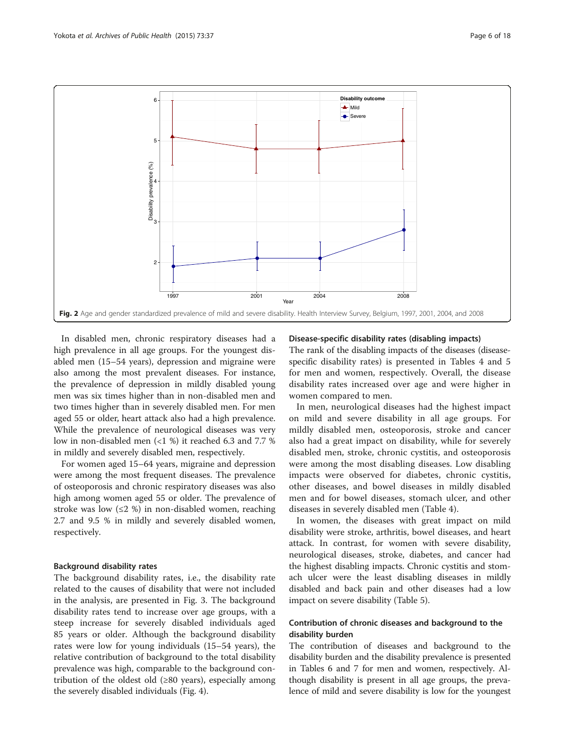<span id="page-5-0"></span>

In disabled men, chronic respiratory diseases had a high prevalence in all age groups. For the youngest disabled men (15–54 years), depression and migraine were also among the most prevalent diseases. For instance, the prevalence of depression in mildly disabled young men was six times higher than in non-disabled men and two times higher than in severely disabled men. For men aged 55 or older, heart attack also had a high prevalence. While the prevalence of neurological diseases was very low in non-disabled men (<1 %) it reached 6.3 and 7.7 % in mildly and severely disabled men, respectively.

For women aged 15–64 years, migraine and depression were among the most frequent diseases. The prevalence of osteoporosis and chronic respiratory diseases was also high among women aged 55 or older. The prevalence of stroke was low  $(\leq 2 \%)$  in non-disabled women, reaching 2.7 and 9.5 % in mildly and severely disabled women, respectively.

# Background disability rates

The background disability rates, i.e., the disability rate related to the causes of disability that were not included in the analysis, are presented in Fig. [3.](#page-7-0) The background disability rates tend to increase over age groups, with a steep increase for severely disabled individuals aged 85 years or older. Although the background disability rates were low for young individuals (15–54 years), the relative contribution of background to the total disability prevalence was high, comparable to the background contribution of the oldest old  $(\geq 80 \text{ years})$ , especially among the severely disabled individuals (Fig. [4\)](#page-13-0).

### Disease-specific disability rates (disabling impacts)

The rank of the disabling impacts of the diseases (diseasespecific disability rates) is presented in Tables [4](#page-8-0) and [5](#page-9-0) for men and women, respectively. Overall, the disease disability rates increased over age and were higher in women compared to men.

In men, neurological diseases had the highest impact on mild and severe disability in all age groups. For mildly disabled men, osteoporosis, stroke and cancer also had a great impact on disability, while for severely disabled men, stroke, chronic cystitis, and osteoporosis were among the most disabling diseases. Low disabling impacts were observed for diabetes, chronic cystitis, other diseases, and bowel diseases in mildly disabled men and for bowel diseases, stomach ulcer, and other diseases in severely disabled men (Table [4](#page-8-0)).

In women, the diseases with great impact on mild disability were stroke, arthritis, bowel diseases, and heart attack. In contrast, for women with severe disability, neurological diseases, stroke, diabetes, and cancer had the highest disabling impacts. Chronic cystitis and stomach ulcer were the least disabling diseases in mildly disabled and back pain and other diseases had a low impact on severe disability (Table [5\)](#page-9-0).

# Contribution of chronic diseases and background to the disability burden

The contribution of diseases and background to the disability burden and the disability prevalence is presented in Tables [6](#page-10-0) and [7](#page-12-0) for men and women, respectively. Although disability is present in all age groups, the prevalence of mild and severe disability is low for the youngest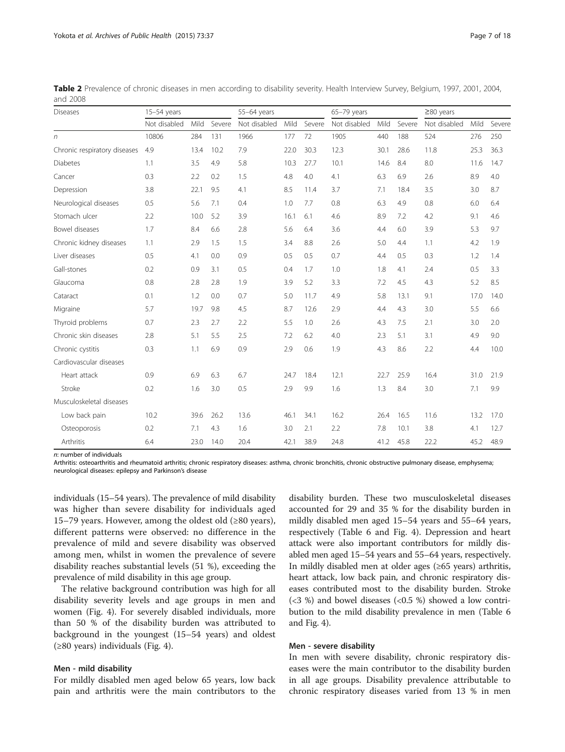n: number of individuals

Arthritis: osteoarthritis and rheumatoid arthritis; chronic respiratory diseases: asthma, chronic bronchitis, chronic obstructive pulmonary disease, emphysema; neurological diseases: epilepsy and Parkinson's disease

individuals (15–54 years). The prevalence of mild disability was higher than severe disability for individuals aged 15–79 years. However, among the oldest old  $(\geq 80 \text{ years})$ , different patterns were observed: no difference in the prevalence of mild and severe disability was observed among men, whilst in women the prevalence of severe disability reaches substantial levels (51 %), exceeding the prevalence of mild disability in this age group.

The relative background contribution was high for all disability severity levels and age groups in men and women (Fig. [4](#page-13-0)). For severely disabled individuals, more than 50 % of the disability burden was attributed to background in the youngest (15–54 years) and oldest (≥80 years) individuals (Fig. [4](#page-13-0)).

### Men - mild disability

For mildly disabled men aged below 65 years, low back pain and arthritis were the main contributors to the

disability burden. These two musculoskeletal diseases accounted for 29 and 35 % for the disability burden in mildly disabled men aged 15–54 years and 55–64 years, respectively (Table [6](#page-10-0) and Fig. [4\)](#page-13-0). Depression and heart attack were also important contributors for mildly disabled men aged 15–54 years and 55–64 years, respectively. In mildly disabled men at older ages (≥65 years) arthritis, heart attack, low back pain, and chronic respiratory diseases contributed most to the disability burden. Stroke  $(\leq 3 \%)$  and bowel diseases  $(\leq 0.5 \%)$  showed a low contribution to the mild disability prevalence in men (Table [6](#page-10-0) and Fig. [4\)](#page-13-0).

#### Men - severe disability

In men with severe disability, chronic respiratory diseases were the main contributor to the disability burden in all age groups. Disability prevalence attributable to chronic respiratory diseases varied from 13 % in men

| <b>Diseases</b>              | $15-54$ years |      |        | 55-64 years  |      |        | 65-79 years  |      |        | $\geq$ 80 years |      |        |
|------------------------------|---------------|------|--------|--------------|------|--------|--------------|------|--------|-----------------|------|--------|
|                              | Not disabled  | Mild | Severe | Not disabled | Mild | Severe | Not disabled | Mild | Severe | Not disabled    | Mild | Severe |
| n                            | 10806         | 284  | 131    | 1966         | 177  | 72     | 1905         | 440  | 188    | 524             | 276  | 250    |
| Chronic respiratory diseases | 4.9           | 13.4 | 10.2   | 7.9          | 22.0 | 30.3   | 12.3         | 30.1 | 28.6   | 11.8            | 25.3 | 36.3   |
| <b>Diabetes</b>              | 1.1           | 3.5  | 4.9    | 5.8          | 10.3 | 27.7   | 10.1         | 14.6 | 8.4    | 8.0             | 11.6 | 14.7   |
| Cancer                       | 0.3           | 2.2  | 0.2    | 1.5          | 4.8  | 4.0    | 4.1          | 6.3  | 6.9    | 2.6             | 8.9  | 4.0    |
| Depression                   | 3.8           | 22.1 | 9.5    | 4.1          | 8.5  | 11.4   | 3.7          | 7.1  | 18.4   | 3.5             | 3.0  | 8.7    |
| Neurological diseases        | 0.5           | 5.6  | 7.1    | 0.4          | 1.0  | 7.7    | 0.8          | 6.3  | 4.9    | 0.8             | 6.0  | 6.4    |
| Stomach ulcer                | 2.2           | 10.0 | 5.2    | 3.9          | 16.1 | 6.1    | 4.6          | 8.9  | 7.2    | 4.2             | 9.1  | 4.6    |
| Bowel diseases               | 1.7           | 8.4  | 6.6    | 2.8          | 5.6  | 6.4    | 3.6          | 4.4  | 6.0    | 3.9             | 5.3  | 9.7    |
| Chronic kidney diseases      | 1.1           | 2.9  | 1.5    | 1.5          | 3.4  | 8.8    | 2.6          | 5.0  | 4.4    | 1.1             | 4.2  | 1.9    |
| Liver diseases               | 0.5           | 4.1  | 0.0    | 0.9          | 0.5  | 0.5    | 0.7          | 4.4  | 0.5    | 0.3             | 1.2  | 1.4    |
| Gall-stones                  | 0.2           | 0.9  | 3.1    | 0.5          | 0.4  | 1.7    | 1.0          | 1.8  | 4.1    | 2.4             | 0.5  | 3.3    |
| Glaucoma                     | 0.8           | 2.8  | 2.8    | 1.9          | 3.9  | 5.2    | 3.3          | 7.2  | 4.5    | 4.3             | 5.2  | 8.5    |
| Cataract                     | 0.1           | 1.2  | 0.0    | 0.7          | 5.0  | 11.7   | 4.9          | 5.8  | 13.1   | 9.1             | 17.0 | 14.0   |
| Migraine                     | 5.7           | 19.7 | 9.8    | 4.5          | 8.7  | 12.6   | 2.9          | 4.4  | 4.3    | 3.0             | 5.5  | 6.6    |
| Thyroid problems             | 0.7           | 2.3  | 2.7    | 2.2          | 5.5  | 1.0    | 2.6          | 4.3  | 7.5    | 2.1             | 3.0  | 2.0    |
| Chronic skin diseases        | 2.8           | 5.1  | 5.5    | 2.5          | 7.2  | 6.2    | 4.0          | 2.3  | 5.1    | 3.1             | 4.9  | 9.0    |
| Chronic cystitis             | 0.3           | 1.1  | 6.9    | 0.9          | 2.9  | 0.6    | 1.9          | 4.3  | 8.6    | 2.2             | 4.4  | 10.0   |
| Cardiovascular diseases      |               |      |        |              |      |        |              |      |        |                 |      |        |
| Heart attack                 | 0.9           | 6.9  | 6.3    | 6.7          | 24.7 | 18.4   | 12.1         | 22.7 | 25.9   | 16.4            | 31.0 | 21.9   |
| Stroke                       | 0.2           | 1.6  | 3.0    | 0.5          | 2.9  | 9.9    | 1.6          | 1.3  | 8.4    | 3.0             | 7.1  | 9.9    |
| Musculoskeletal diseases     |               |      |        |              |      |        |              |      |        |                 |      |        |
| Low back pain                | 10.2          | 39.6 | 26.2   | 13.6         | 46.1 | 34.1   | 16.2         | 26.4 | 16.5   | 11.6            | 13.2 | 17.0   |
| Osteoporosis                 | 0.2           | 7.1  | 4.3    | 1.6          | 3.0  | 2.1    | 2.2          | 7.8  | 10.1   | 3.8             | 4.1  | 12.7   |
| Arthritis                    | 6.4           | 23.0 | 14.0   | 20.4         | 42.1 | 38.9   | 24.8         | 41.2 | 45.8   | 22.2            | 45.2 | 48.9   |

<span id="page-6-0"></span>Table 2 Prevalence of chronic diseases in men according to disability severity. Health Interview Survey, Belgium, 1997, 2001, 2004, and 2008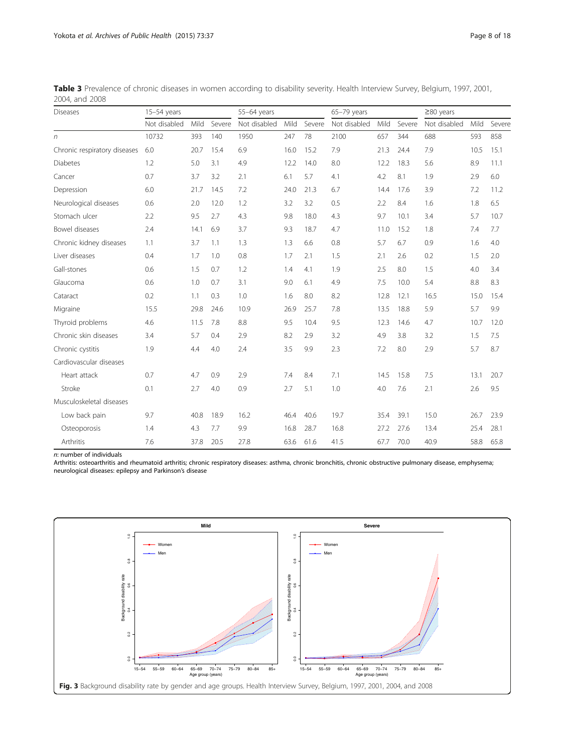| <b>Diseases</b>              | $15-54$ years |      |        | 55-64 years  |      |        | $65-79$ years |      |        | $\geq$ 80 years |      |        |
|------------------------------|---------------|------|--------|--------------|------|--------|---------------|------|--------|-----------------|------|--------|
|                              | Not disabled  | Mild | Severe | Not disabled | Mild | Severe | Not disabled  | Mild | Severe | Not disabled    | Mild | Severe |
| n                            | 10732         | 393  | 140    | 1950         | 247  | 78     | 2100          | 657  | 344    | 688             | 593  | 858    |
| Chronic respiratory diseases | 6.0           | 20.7 | 15.4   | 6.9          | 16.0 | 15.2   | 7.9           | 21.3 | 24.4   | 7.9             | 10.5 | 15.1   |
| <b>Diabetes</b>              | 1.2           | 5.0  | 3.1    | 4.9          | 12.2 | 14.0   | 8.0           | 12.2 | 18.3   | 5.6             | 8.9  | 11.1   |
| Cancer                       | 0.7           | 3.7  | 3.2    | 2.1          | 6.1  | 5.7    | 4.1           | 4.2  | 8.1    | 1.9             | 2.9  | 6.0    |
| Depression                   | 6.0           | 21.7 | 14.5   | 7.2          | 24.0 | 21.3   | 6.7           | 14.4 | 17.6   | 3.9             | 7.2  | 11.2   |
| Neurological diseases        | 0.6           | 2.0  | 12.0   | 1.2          | 3.2  | 3.2    | 0.5           | 2.2  | 8.4    | 1.6             | 1.8  | 6.5    |
| Stomach ulcer                | 2.2           | 9.5  | 2.7    | 4.3          | 9.8  | 18.0   | 4.3           | 9.7  | 10.1   | 3.4             | 5.7  | 10.7   |
| Bowel diseases               | 2.4           | 14.1 | 6.9    | 3.7          | 9.3  | 18.7   | 4.7           | 11.0 | 15.2   | 1.8             | 7.4  | 7.7    |
| Chronic kidney diseases      | 1.1           | 3.7  | 1.1    | 1.3          | 1.3  | 6.6    | 0.8           | 5.7  | 6.7    | 0.9             | 1.6  | 4.0    |
| Liver diseases               | 0.4           | 1.7  | 1.0    | 0.8          | 1.7  | 2.1    | 1.5           | 2.1  | 2.6    | 0.2             | 1.5  | 2.0    |
| Gall-stones                  | 0.6           | 1.5  | 0.7    | 1.2          | 1.4  | 4.1    | 1.9           | 2.5  | 8.0    | 1.5             | 4.0  | 3.4    |
| Glaucoma                     | 0.6           | 1.0  | 0.7    | 3.1          | 9.0  | 6.1    | 4.9           | 7.5  | 10.0   | 5.4             | 8.8  | 8.3    |
| Cataract                     | 0.2           | 1.1  | 0.3    | 1.0          | 1.6  | 8.0    | 8.2           | 12.8 | 12.1   | 16.5            | 15.0 | 15.4   |
| Migraine                     | 15.5          | 29.8 | 24.6   | 10.9         | 26.9 | 25.7   | 7.8           | 13.5 | 18.8   | 5.9             | 5.7  | 9.9    |
| Thyroid problems             | 4.6           | 11.5 | 7.8    | 8.8          | 9.5  | 10.4   | 9.5           | 12.3 | 14.6   | 4.7             | 10.7 | 12.0   |
| Chronic skin diseases        | 3.4           | 5.7  | 0.4    | 2.9          | 8.2  | 2.9    | 3.2           | 4.9  | 3.8    | 3.2             | 1.5  | 7.5    |
| Chronic cystitis             | 1.9           | 4.4  | 4.0    | 2.4          | 3.5  | 9.9    | 2.3           | 7.2  | 8.0    | 2.9             | 5.7  | 8.7    |
| Cardiovascular diseases      |               |      |        |              |      |        |               |      |        |                 |      |        |
| Heart attack                 | 0.7           | 4.7  | 0.9    | 2.9          | 7.4  | 8.4    | 7.1           | 14.5 | 15.8   | 7.5             | 13.1 | 20.7   |
| Stroke                       | 0.1           | 2.7  | 4.0    | 0.9          | 2.7  | 5.1    | 1.0           | 4.0  | 7.6    | 2.1             | 2.6  | 9.5    |
| Musculoskeletal diseases     |               |      |        |              |      |        |               |      |        |                 |      |        |
| Low back pain                | 9.7           | 40.8 | 18.9   | 16.2         | 46.4 | 40.6   | 19.7          | 35.4 | 39.1   | 15.0            | 26.7 | 23.9   |
| Osteoporosis                 | 1.4           | 4.3  | 7.7    | 9.9          | 16.8 | 28.7   | 16.8          | 27.2 | 27.6   | 13.4            | 25.4 | 28.1   |
| Arthritis                    | 7.6           | 37.8 | 20.5   | 27.8         | 63.6 | 61.6   | 41.5          | 67.7 | 70.0   | 40.9            | 58.8 | 65.8   |

<span id="page-7-0"></span>Table 3 Prevalence of chronic diseases in women according to disability severity. Health Interview Survey, Belgium, 1997, 2001, 2004, and 2008

n: number of individuals

Arthritis: osteoarthritis and rheumatoid arthritis; chronic respiratory diseases: asthma, chronic bronchitis, chronic obstructive pulmonary disease, emphysema; neurological diseases: epilepsy and Parkinson's disease

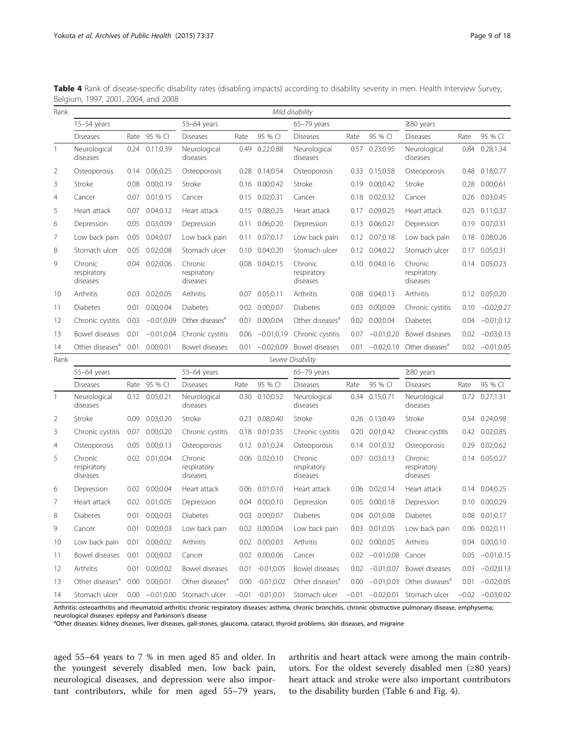| Rank           |                                    |      |                    |                                    |         |                | Mild disability                    |      |                    |                                    |      |                      |
|----------------|------------------------------------|------|--------------------|------------------------------------|---------|----------------|------------------------------------|------|--------------------|------------------------------------|------|----------------------|
|                | $15-54$ years                      |      |                    | 55-64 years                        |         |                | $65-79$ years                      |      |                    | $≥80$ years                        |      |                      |
|                | <b>Diseases</b>                    | Rate | 95 % CI            | <b>Diseases</b>                    | Rate    | 95 % CI        | <b>Diseases</b>                    | Rate | 95 % CI            | <b>Diseases</b>                    | Rate | 95 % CI              |
| $\mathbf{1}$   | Neurological<br>diseases           | 0.24 | 0.11;0.39          | Neurological<br>diseases           | 0.49    | 0.22;0.88      | Neurological<br>diseases           |      | 0.57 0.23;0.95     | Neurological<br>diseases           | 0.84 | 0.28;1.34            |
| $\overline{2}$ | Osteoporosis                       | 0.14 | 0.06;0.25          | Osteoporosis                       | 0.28    | 0.14;0.54      | Osteoporosis                       |      | 0.33 0.15;0.58     | Osteoporosis                       | 0.48 | 0.18;0.77            |
| 3              | Stroke                             | 0.08 | 0.00;0.19          | Stroke                             | 0.16    | 0.00;0.42      | Stroke                             | 0.19 | 0.00;0.42          | Stroke                             | 0.28 | 0.00;0.61            |
| 4              | Cancer                             | 0.07 | 0.01;0.15          | Cancer                             | 0.15    | 0.02;0.31      | Cancer                             |      | 0.18 0.02;0.32     | Cancer                             | 0.26 | 0.03;0.45            |
| 5              | Heart attack                       | 0.07 | 0.04;0.12          | Heart attack                       | 0.15    | 0.08;0.25      | Heart attack                       | 0.17 | 0.09;0.25          | Heart attack                       | 0.25 | 0.11;0.37            |
| 6              | Depression                         | 0.05 | 0.03;0.09          | Depression                         | 0.11    | 0.06;0.20      | Depression                         | 0.13 | 0.06;0.21          | Depression                         | 0.19 | 0.07;0.31            |
| 7              | Low back pain                      | 0.05 | 0.04;0.07          | Low back pain                      | 0.11    | 0.07;0.17      | Low back pain                      |      | $0.12$ $0.07;0.18$ | Low back pain                      | 0.18 | 0.08;0.26            |
| 8              | Stomach ulcer                      | 0.05 | 0.02;0.08          | Stomach ulcer                      | 0.10    | 0.04;0.20      | Stomach ulcer                      |      | 0.12 0.04;0.22     | Stomach ulcer                      |      | 0.17 0.05;0.31       |
| 9              | Chronic<br>respiratory<br>diseases | 0.04 | 0.02;0.06          | Chronic<br>respiratory<br>diseases | 0.08    | 0.04;0.15      | Chronic<br>respiratory<br>diseases |      | $0.10$ $0.04;0.16$ | Chronic<br>respiratory<br>diseases | 0.14 | 0.05;0.23            |
| 10             | Arthritis                          | 0.03 | 0.02;0.05          | Arthritis                          | 0.07    | 0.05;0.11      | Arthritis                          | 0.08 | 0.04;0.13          | Arthritis                          | 0.12 | 0.05;0.20            |
| 11             | <b>Diabetes</b>                    | 0.01 | 0.00;0.04          | Diabetes                           | 0.02    | 0.00;0.07      | <b>Diabetes</b>                    |      | 0.03 0.00;0.09     | Chronic cystitis                   | 0.10 | $-0.02;0.27$         |
| 12             | Chronic cystitis                   | 0.03 | $-0.01;0.09$       | Other diseases <sup>a</sup>        | 0.01    | 0.00;0.04      | Other diseases <sup>a</sup>        |      | 0.02 0.00;0.04     | <b>Diabetes</b>                    | 0.04 | $-0.01;0.12$         |
| 13             | Bowel diseases                     | 0.01 | $-0.01;0.04$       | Chronic cystitis                   | 0.06    | $-0.01;0.19$   | Chronic cystitis                   |      | $0.07 -0.01;0.20$  | Bowel diseases                     | 0.02 | $-0.03;0.13$         |
| 14             | Other diseases <sup>a</sup>        | 0.01 | 0.00;0.01          | Bowel diseases                     | 0.01    | $-0.02;0.09$   | Bowel diseases                     | 0.01 | $-0.02;0.10$       | Other diseases <sup>a</sup>        | 0.02 | $-0.01;0.05$         |
| Rank           |                                    |      |                    |                                    |         |                | Severe Disability                  |      |                    |                                    |      |                      |
|                | 55-64 years                        |      |                    | 55-64 years                        |         |                | $65-79$ years                      |      |                    | $\geq$ 80 years                    |      |                      |
|                | <b>Diseases</b>                    | Rate | 95 % CI            | <b>Diseases</b>                    | Rate    | 95 % CI        | Diseases                           | Rate | 95 % CI            | <b>Diseases</b>                    | Rate | 95 % CI              |
| 1              | Neurological<br>diseases           |      | $0.12$ $0.05;0.21$ | Neurological<br>diseases           | 0.30    | 0.10;0.52      | Neurological<br>diseases           |      | 0.34 0.15;0.71     | Neurological<br>diseases           |      | $0.72$ $0.27;1.31$   |
| $\overline{2}$ | Stroke                             | 0.09 | 0.03;0.20          | Stroke                             | 0.23    | 0.08;0.40      | Stroke                             |      | 0.26 0.13;0.49     | Stroke                             |      | 0.54 0.24;0.98       |
| 3              | Chronic cystitis                   | 0.07 | 0.00;0.20          | Chronic cystitis                   | 0.18    | 0.01;0.35      | Chronic cystitis                   |      | 0.20 0.01;0.42     | Chronic cystitis                   |      | 0.42 0.02;0.85       |
| $\overline{4}$ | Osteoporosis                       | 0.05 | 0.00;0.13          | Osteoporosis                       |         | 0.12 0.01;0.24 | Osteoporosis                       |      | 0.14 0.01;0.32     | Osteoporosis                       | 0.29 | 0.02;0.62            |
| 5              | Chronic<br>respiratory<br>diseases |      | 0.02 0.01;0.04     | Chronic<br>respiratory<br>diseases |         | 0.06 0.02;0.10 | Chronic<br>respiratory<br>diseases |      | 0.07 0.03;0.13     | Chronic<br>respiratory<br>diseases |      | 0.14 0.05;0.27       |
| 6              | Depression                         | 0.02 | 0.00;0.04          | Heart attack                       | 0.06    | 0.01;0.10      | Heart attack                       | 0.06 | 0.02;0.14          | Heart attack                       | 0.14 | 0.04;0.25            |
| 7              | Heart attack                       | 0.02 | 0.01;0.05          | Depression                         | 0.04    | 0.00;0.10      | Depression                         | 0.05 | 0.00;0.18          | Depression                         | 0.10 | 0.00;0.29            |
| 8              | <b>Diabetes</b>                    | 0.01 | 0.00;0.03          | Diabetes                           | 0.03    | 0.00;0.07      | Diabetes                           |      | 0.04 0.01;0.08     | Diabetes                           | 0.08 | 0.01;0.17            |
| 9              | Cancer                             | 0.01 | 0.00;0.03          | Low back pain                      | 0.02    | 0.00;0.04      | Low back pain                      |      | 0.03 0.01;0.05     | Low back pain                      | 0.06 | 0.02;0.11            |
| 10             | Low back pain                      | 0.01 | 0.00;0.02          | Arthritis                          | 0.02    | 0.00;0.03      | Arthritis                          |      | 0.02 0.00;0.05     | Arthritis                          | 0.04 | 0.00;0.10            |
| 11             | Bowel diseases                     | 0.01 | 0.00;0.02          | Cancer                             | 0.02    | 0.00;0.06      | Cancer                             | 0.02 | $-0.01;0.08$       | Cancer                             | 0.05 | $-0.01;0.15$         |
| 12             | Arthritis                          | 0.01 | 0.00;0.02          | Bowel diseases                     | 0.01    | $-0.01;0.05$   | Bowel diseases                     |      | $0.02 -0.01;0.07$  | Bowel diseases                     | 0.03 | $-0.02;0.13$         |
| 13             | Other diseases <sup>a</sup>        | 0.00 | 0.00;0.01          | Other diseases <sup>a</sup>        | 0.00    | $-0.01;0.02$   | Other diseases <sup>a</sup>        |      | $0.00 -0.01; 0.03$ | Other diseases <sup>a</sup>        | 0.01 | $-0.02;0.05$         |
| 14             | Stomach ulcer                      | 0.00 |                    | -0.01;0.00 Stomach ulcer           | $-0.01$ | $-0.01;0.01$   | Stomach ulcer                      |      |                    | $-0.01$ $-0.02;0.01$ Stomach ulcer |      | $-0.02$ $-0.03;0.02$ |

<span id="page-8-0"></span>Table 4 Rank of disease-specific disability rates (disabling impacts) according to disability severity in men. Health Interview Survey, Belgium, 1997, 2001, 2004, and 2008

Arthritis: osteoarthritis and rheumatoid arthritis; chronic respiratory diseases: asthma, chronic bronchitis, chronic obstructive pulmonary disease, emphysema; neurological diseases: epilepsy and Parkinson's disease <sup>a</sup>

<sup>a</sup>Other diseases: kidney diseases, liver diseases, gall-stones, glaucoma, cataract, thyroid problems, skin diseases, and migraine

aged 55–64 years to 7 % in men aged 85 and older. In the youngest severely disabled men, low back pain, neurological diseases, and depression were also important contributors, while for men aged 55–79 years,

arthritis and heart attack were among the main contributors. For the oldest severely disabled men (≥80 years) heart attack and stroke were also important contributors to the disability burden (Table [6](#page-10-0) and Fig. [4\)](#page-13-0).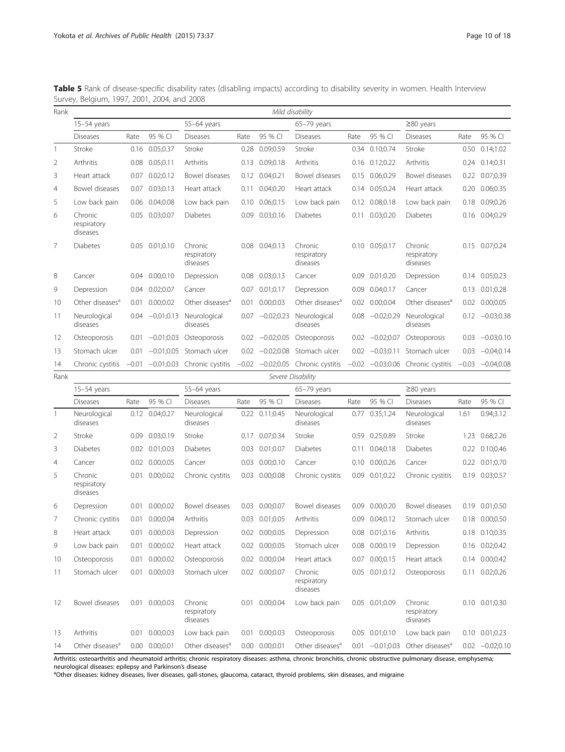| Rank           |                                    |         |                    |                                    |         |                   | Mild disability                    |      |                   |                                               |         |                    |
|----------------|------------------------------------|---------|--------------------|------------------------------------|---------|-------------------|------------------------------------|------|-------------------|-----------------------------------------------|---------|--------------------|
|                | $15-54$ years                      |         |                    | 55-64 years                        |         |                   | 65-79 years                        |      |                   | $\geq$ 80 years                               |         |                    |
|                | <b>Diseases</b>                    | Rate    | 95 % CI            | <b>Diseases</b>                    | Rate    | 95 % CI           | <b>Diseases</b>                    | Rate | 95 % CI           | <b>Diseases</b>                               | Rate    | 95 % CI            |
| 1              | Stroke                             | 0.16    | 0.05;0.37          | Stroke                             | 0.28    | 0.09;0.59         | Stroke                             | 0.34 | 0.10;0.74         | Stroke                                        | 0.50    | 0.14;1.02          |
| 2              | Arthritis                          | 0.08    | 0.05:0.11          | Arthritis                          | 0.13    | 0.09;0.18         | Arthritis                          |      | 0.16 0.12:0.22    | Arthritis                                     |         | 0.24 0.14;0.31     |
| 3              | Heart attack                       | 0.07    | 0.02;0.12          | Bowel diseases                     |         | 0.12 0.04;0.21    | Bowel diseases                     | 0.15 | 0.06;0.29         | Bowel diseases                                |         | 0.22 0.07;0.39     |
| $\overline{4}$ | Bowel diseases                     | 0.07    | 0.03;0.13          | Heart attack                       | 0.11    | 0.04;0.20         | Heart attack                       |      | 0.14 0.05;0.24    | Heart attack                                  | 0.20    | 0.06;0.35          |
| 5              | Low back pain                      | 0.06    | 0.04;0.08          | Low back pain                      | 0.10    | 0.06;0.15         | Low back pain                      | 0.12 | 0.08;0.18         | Low back pain                                 | 0.18    | 0.09;0.26          |
| 6              | Chronic<br>respiratory<br>diseases | 0.05    | 0.03;0.07          | <b>Diabetes</b>                    | 0.09    | 0.03;0.16         | <b>Diabetes</b>                    |      | 0.11 0.03;0.20    | <b>Diabetes</b>                               |         | 0.16 0.04:0.29     |
| 7              | <b>Diabetes</b>                    |         | 0.05 0.01;0.10     | Chronic<br>respiratory<br>diseases |         | 0.08 0.04:0.13    | Chronic<br>respiratory<br>diseases |      | 0.10 0.05;0.17    | Chronic<br>respiratory<br>diseases            |         | 0.15 0.07;0.24     |
| 8              | Cancer                             |         | 0.04 0.00;0.10     | Depression                         | 0.08    | 0.03:0.13         | Cancer                             | 0.09 | 0.01;0.20         | Depression                                    |         | 0.14 0.05;0.23     |
| 9              | Depression                         | 0.04    | 0.02;0.07          | Cancer                             | 0.07    | 0.01;0.17         | Depression                         | 0.09 | 0.04;0.17         | Cancer                                        | 0.13    | 0.01;0.28          |
| 10             | Other diseases <sup>a</sup>        |         | 0.01 0.00;0.02     | Other diseases <sup>a</sup>        |         | 0.01 0.00:0.03    | Other diseases <sup>a</sup>        | 0.02 | 0.00;0.04         | Other diseases <sup>a</sup>                   | 0.02    | 0.00;0.05          |
| 11             | Neurological<br>diseases           | 0.04    | $-0.01;0.13$       | Neurological<br>diseases           | 0.07    | $-0.02;0.23$      | Neurological<br>diseases           | 0.08 | $-0.02:0.29$      | Neurological<br>diseases                      | 0.12    | $-0.03;0.38$       |
| 12             | Osteoporosis                       | 0.01    | $-0.01:0.03$       | Osteoporosis                       |         | $0.02 -0.02:0.05$ | Osteoporosis                       |      | $0.02 -0.02:0.07$ | Osteoporosis                                  | 0.03    | $-0.03;0.10$       |
| 13             | Stomach ulcer                      | 0.01    |                    | $-0.01;0.05$ Stomach ulcer         | 0.02    |                   | -0.02;0.08 Stomach ulcer           |      | $0.02 -0.03;0.11$ | Stomach ulcer                                 | 0.03    | $-0.04;0.14$       |
| 14             | Chronic cystitis                   | $-0.01$ |                    | -0.01;0.03 Chronic cystitis        | $-0.02$ |                   | $-0.02;0.05$ Chronic cystitis      |      |                   | $-0.02$ $-0.03;0.06$ Chronic cystitis         | $-0.03$ | $-0.04;0.08$       |
| Rank           |                                    |         |                    |                                    |         |                   | Severe Disability                  |      |                   |                                               |         |                    |
|                | 15-54 years                        |         |                    | 55-64 years                        |         |                   | 65-79 years                        |      |                   | $\geq$ 80 years                               |         |                    |
|                | <b>Diseases</b>                    | Rate    | 95 % CI            | <b>Diseases</b>                    | Rate    | 95 % CI           | <b>Diseases</b>                    | Rate | 95 % CI           | <b>Diseases</b>                               | Rate    | 95 % CI            |
| 1              | Neurological<br>diseases           |         | 0.12 0.04;0.27     | Neurological<br>diseases           | 0.22    | 0.11;0.45         | Neurological<br>diseases           | 0.77 | 0.35;1.24         | Neurological<br>diseases                      | 1.61    | 0.94;3.12          |
| 2              | Stroke                             | 0.09    | 0.03;0.19          | Stroke                             | 0.17    | 0.07;0.34         | Stroke                             | 0.59 | 0.25;0.89         | Stroke                                        | 1.23    | 0.68;2.26          |
| 3              | <b>Diabetes</b>                    |         | 0.02 0.01;0.03     | <b>Diabetes</b>                    | 0.03    | 0.01;0.07         | Diabetes                           | 0.11 | 0.04;0.18         | Diabetes                                      | 0.22    | 0.10;0.46          |
| 4              | Cancer                             |         | 0.02 0.00;0.05     | Cancer                             | 0.03    | 0.00;0.10         | Cancer                             |      | 0.10 0.00;0.26    | Cancer                                        |         | 0.22 0.01;0.70     |
| 5              | Chronic<br>respiratory<br>diseases | 0.01    | 0.00;0.02          | Chronic cystitis                   |         | 0.03 0.00;0.08    | Chronic cystitis                   | 0.09 | 0.01;0.22         | Chronic cystitis                              | 0.19    | 0.03;0.57          |
| 6              | Depression                         | 0.01    | 0.00:0.02          | Bowel diseases                     | 0.03    | 0.00:0.07         | Bowel diseases                     | 0.09 | 0.00;0.20         | Bowel diseases                                | 0.19    | 0.01;0.50          |
| 7              | Chronic cystitis                   |         | 0.01 0.00;0.04     | Arthritis                          |         | 0.03 0.01;0.05    | Arthritis                          |      | 0.09 0.04;0.12    | Stomach ulcer                                 |         | 0.18 0.00:0.50     |
| 8              | Heart attack                       |         | 0.01 0.00;0.03     | Depression                         |         | 0.02 0.00;0.05    | Depression                         |      | 0.08 0.01;0.16    | Arthritis                                     |         | 0.18 0.10;0.35     |
| 9              | Low back pain                      |         | 0.01 0.00;0.02     | Heart attack                       |         | 0.02 0.00;0.05    | Stomach ulcer                      |      | 0.08 0.00;0.19    | Depression                                    |         | 0.16 0.02;0.42     |
| 10             | Osteoporosis                       | 0.01    | 0.00;0.02          | Osteoporosis                       |         | 0.02 0.00;0.04    | Heart attack                       |      | 0.07 0.00;0.15    | Heart attack                                  |         | 0.14 0.00;0.42     |
| 11             | Stomach ulcer                      | 0.01    | 0.00;0.03          | Stomach ulcer                      |         | 0.02 0.00;0.07    | Chronic<br>respiratory<br>diseases |      | 0.05 0.01;0.12    | Osteoporosis                                  |         | 0.11 0.02;0.26     |
| 12             | Bowel diseases                     |         | 0.01 0.00;0.03     | Chronic<br>respiratory<br>diseases |         | 0.01 0.00;0.04    | Low back pain                      |      | 0.05 0.01;0.09    | Chronic<br>respiratory<br>diseases            |         | 0.10 0.01;0.30     |
| 13             | Arthritis                          |         | 0.01 0.00;0.03     | Low back pain                      |         | 0.01 0.00;0.03    | Osteoporosis                       |      | 0.05 0.01;0.10    | Low back pain                                 |         | $0.10$ $0.01;0.23$ |
| 14             | Other diseases <sup>a</sup>        |         | $0.00$ $0.00;0.01$ | Other diseases <sup>a</sup>        |         | 0.00 0.00;0.01    | Other diseases <sup>a</sup>        |      |                   | $0.01$ -0.01;0.03 Other diseases <sup>a</sup> |         | $0.02 -0.02;0.10$  |
|                |                                    |         |                    |                                    |         |                   |                                    |      |                   |                                               |         |                    |

<span id="page-9-0"></span>Table 5 Rank of disease-specific disability rates (disabling impacts) according to disability severity in women. Health Interview Survey, Belgium, 1997, 2001, 2004, and 2008

Arthritis: osteoarthritis and rheumatoid arthritis; chronic respiratory diseases: asthma, chronic bronchitis, chronic obstructive pulmonary disease, emphysema; neurological diseases: epilepsy and Parkinson's disease <sup>a</sup>

<sup>a</sup>Other diseases: kidney diseases, liver diseases, gall-stones, glaucoma, cataract, thyroid problems, skin diseases, and migraine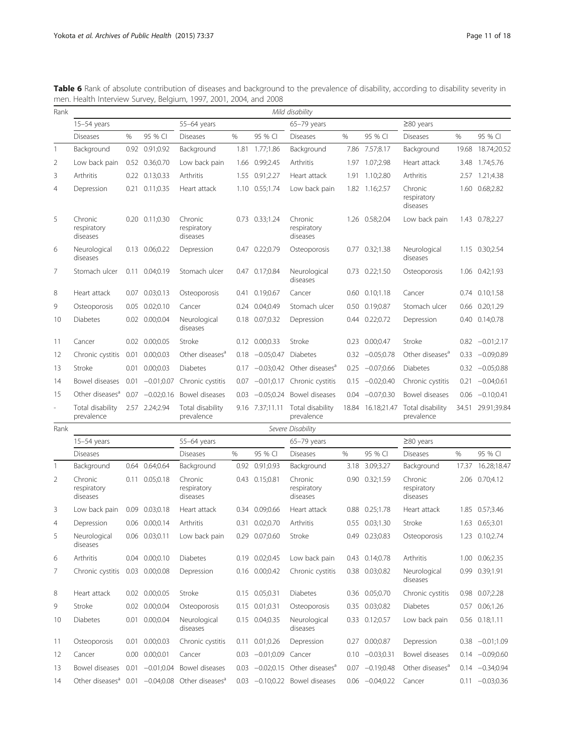<span id="page-10-0"></span>

| Table 6 Rank of absolute contribution of diseases and background to the prevalence of disability, according to disability severity in |  |
|---------------------------------------------------------------------------------------------------------------------------------------|--|
| men. Health Interview Survey, Belgium, 1997, 2001, 2004, and 2008                                                                     |  |

| Rank           |                                    |                   |                    |                                    |               |                   | Mild disability                               |               |                    |                                    |       |                   |
|----------------|------------------------------------|-------------------|--------------------|------------------------------------|---------------|-------------------|-----------------------------------------------|---------------|--------------------|------------------------------------|-------|-------------------|
|                | $15-54$ years                      |                   |                    | 55-64 vears                        |               |                   | 65-79 years                                   |               |                    | $\geq$ 80 years                    |       |                   |
|                | <b>Diseases</b>                    | %                 | 95 % CI            | <b>Diseases</b>                    | $\frac{0}{0}$ | 95 % CI           | <b>Diseases</b>                               | $\frac{0}{0}$ | 95 % CI            | <b>Diseases</b>                    | $\%$  | 95 % CI           |
| 1              | Background                         | 0.92              | 0.91;0.92          | Background                         | 1.81          | 1.77;1.86         | Background                                    | 7.86          | 7.57;8.17          | Background                         | 19.68 | 18.74;20.52       |
| 2              | Low back pain                      |                   | 0.52 0.36;0.70     | Low back pain                      | 1.66          | 0.99;2.45         | Arthritis                                     | 1.97          | 1.07;2.98          | Heart attack                       | 3.48  | 1.74;5.76         |
| 3              | Arthritis                          | 0.22              | 0.13;0.33          | Arthritis                          | 1.55          | 0.91;2.27         | Heart attack                                  | 1.91          | 1.10;2.80          | Arthritis                          |       | 2.57 1.21;4.38    |
| $\overline{4}$ | Depression                         | 0.21              | 0.11;0.35          | Heart attack                       | 1.10          | 0.55;1.74         | Low back pain                                 | 1.82          | 1.16;2.57          | Chronic<br>respiratory<br>diseases | 1.60  | 0.68;2.82         |
| 5              | Chronic<br>respiratory<br>diseases |                   | $0.20$ $0.11;0.30$ | Chronic<br>respiratory<br>diseases |               | 0.73 0.33;1.24    | Chronic<br>respiratory<br>diseases            |               | 1.26 0.58;2.04     | Low back pain                      |       | 1.43 0.78;2.27    |
| 6              | Neurological<br>diseases           |                   | 0.13 0.06;0.22     | Depression                         | 0.47          | 0.22;0.79         | Osteoporosis                                  |               | 0.77 0.32;1.38     | Neurological<br>diseases           |       | 1.15 0.30;2.54    |
| 7              | Stomach ulcer                      |                   | $0.11$ $0.04;0.19$ | Stomach ulcer                      |               | 0.47 0.17;0.84    | Neurological<br>diseases                      |               | $0.73$ $0.22;1.50$ | Osteoporosis                       |       | 1.06 0.42;1.93    |
| 8              | Heart attack                       | 0.07              | 0.03;0.13          | Osteoporosis                       | 0.41          | 0.19:0.67         | Cancer                                        | 0.60          | 0.10;1.18          | Cancer                             |       | 0.74 0.10;1.58    |
| 9              | Osteoporosis                       | 0.05              | 0.02;0.10          | Cancer                             | 0.24          | 0.04;0.49         | Stomach ulcer                                 |               | 0.50 0.19:0.87     | Stomach ulcer                      |       | 0.66 0.20;1.29    |
| 10             | <b>Diabetes</b>                    | 0.02              | 0.00;0.04          | Neurological<br>diseases           | 0.18          | 0.07;0.32         | Depression                                    | 0.44          | 0.22;0.72          | Depression                         | 0.40  | 0.14;0.78         |
| 11             | Cancer                             |                   | 0.02 0.00:0.05     | Stroke                             |               | 0.12 0.00;0.33    | Stroke                                        |               | 0.23 0.00;0.47     | Stroke                             |       | $0.82 -0.01;2.17$ |
| 12             | Chronic cystitis                   | 0.01              | 0.00;0.03          | Other diseases <sup>a</sup>        | 0.18          | $-0.05:0.47$      | Diabetes                                      | 0.32          | $-0.05;0.78$       | Other diseases <sup>a</sup>        |       | $0.33 -0.09;0.89$ |
| 13             | Stroke                             | 0.01              | 0.00;0.03          | Diabetes                           | 0.17          | $-0.03;0.42$      | Other diseases <sup>a</sup>                   | 0.25          | $-0.07;0.66$       | Diabetes                           |       | $0.32 -0.05;0.88$ |
| 14             | Bowel diseases                     | 0.01              | $-0.01;0.07$       | Chronic cystitis                   | 0.07          | $-0.01;0.17$      | Chronic cystitis                              | 0.15          | $-0.02;0.40$       | Chronic cystitis                   | 0.21  | $-0.04;0.61$      |
| 15             | Other diseases <sup>a</sup>        | 0.07              | $-0.02;0.16$       | Bowel diseases                     | 0.03          | $-0.05;0.24$      | Bowel diseases                                | 0.04          | $-0.07;0.30$       | Bowel diseases                     |       | $0.06 -0.10;0.41$ |
| $\overline{a}$ | Total disability<br>prevalence     | 2.57              | 2.24;2.94          | Total disability<br>prevalence     |               | 9.16 7.37;11.11   | Total disability<br>prevalence                |               | 18.84 16.18;21.47  | Total disability<br>prevalence     |       | 34.51 29.91;39.84 |
| Rank           |                                    |                   |                    |                                    |               |                   | Severe Disability                             |               |                    |                                    |       |                   |
|                | $15-54$ years                      |                   |                    | 55-64 years                        |               |                   | 65-79 years                                   |               |                    | $\geq$ 80 years                    |       |                   |
|                | <b>Diseases</b>                    |                   |                    | <b>Diseases</b>                    | %             | 95 % CI           | <b>Diseases</b>                               | %             | 95 % CI            | <b>Diseases</b>                    | $\%$  | 95 % CI           |
| 1              | Background                         | 0.64              | 0.64;0.64          | Background                         | 0.92          | 0.91;0.93         | Background                                    | 3.18          | 3.09;3.27          | Background                         | 17.37 | 16.28;18.47       |
| 2              | Chronic<br>respiratory<br>diseases | 0.11              | 0.05;0.18          | Chronic<br>respiratory<br>diseases | 0.43          | 0.15;0.81         | Chronic<br>respiratory<br>diseases            | 0.90          | 0.32:1.59          | Chronic<br>respiratory<br>diseases |       | 2.06 0.70;4.12    |
| 3              | Low back pain                      | 0.09              | 0.03;0.18          | Heart attack                       | 0.34          | 0.09:0.66         | Heart attack                                  | 0.88          | 0.25:1.78          | Heart attack                       | 1.85  | 0.57;3.46         |
| 4              | Depression                         |                   | 0.06 0.00;0.14     | Arthritis                          |               | 0.31 0.02;0.70    | Arthritis                                     |               | $0.55$ $0.03;1.30$ | Stroke                             |       | 1.63 0.65;3.01    |
| 5              | Neurological<br>diseases           |                   | 0.06 0.03;0.11     | Low back pain                      |               | 0.29 0.07;0.60    | Stroke                                        | 0.49          | 0.23;0.83          | Osteoporosis                       |       | 1.23 0.10;2.74    |
| 6              | Arthritis                          |                   | 0.04 0.00;0.10     | <b>Diabetes</b>                    |               | 0.19 0.02;0.45    | Low back pain                                 |               | 0.43 0.14;0.78     | Arthritis                          |       | 1.00 0.06;2.35    |
| 7              | Chronic cystitis                   |                   | 0.03 0.00;0.08     | Depression                         |               | 0.16 0.00;0.42    | Chronic cystitis                              |               | 0.38 0.03;0.82     | Neurological<br>diseases           |       | 0.99 0.39;1.91    |
| 8              | Heart attack                       |                   | 0.02 0.00;0.05     | Stroke                             |               | 0.15 0.05;0.31    | <b>Diabetes</b>                               |               | 0.36 0.05;0.70     | Chronic cystitis                   |       | 0.98 0.07;2.28    |
| 9              | Stroke                             | 0.02              | 0.00;0.04          | Osteoporosis                       |               | 0.15 0.01;0.31    | Osteoporosis                                  |               | 0.35 0.03;0.82     | <b>Diabetes</b>                    |       | 0.57 0.06;1.26    |
| 10             | Diabetes                           |                   | 0.01 0.00;0.04     | Neurological<br>diseases           |               | 0.15 0.04;0.35    | Neurological<br>diseases                      |               | 0.33 0.12;0.57     | Low back pain                      |       | 0.56 0.18;1.11    |
| 11             | Osteoporosis                       |                   | 0.01 0.00;0.03     | Chronic cystitis                   |               | 0.11 0.01;0.26    | Depression                                    |               | 0.27 0.00;0.87     | Depression                         |       | $0.38 -0.01;1.09$ |
| 12             | Cancer                             | 0.00 <sub>1</sub> | 0.00;0.01          | Cancer                             |               | $0.03 -0.01;0.09$ | Cancer                                        |               | $0.10 -0.03;0.31$  | Bowel diseases                     |       | $0.14 -0.09;0.60$ |
| 13             | Bowel diseases                     |                   | $0.01 -0.01; 0.04$ | Bowel diseases                     |               |                   | 0.03 $-0.02;0.15$ Other diseases <sup>a</sup> |               | $0.07 -0.19;0.48$  | Other diseases <sup>a</sup>        |       | $0.14 -0.34;0.94$ |
| 14             | Other diseases <sup>a</sup>        |                   | $0.01 -0.04;0.08$  | Other diseases <sup>a</sup>        |               |                   | 0.03 -0.10;0.22 Bowel diseases                |               | $0.06 -0.04;0.22$  | Cancer                             |       | $0.11 -0.03;0.36$ |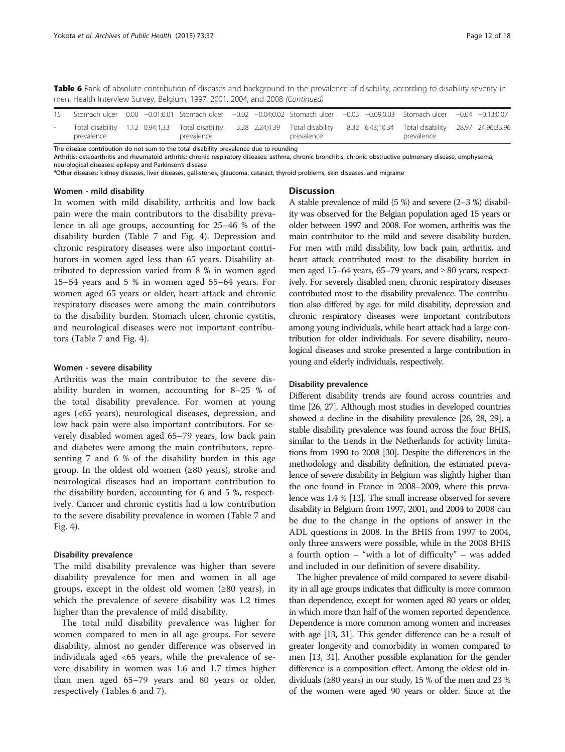Table 6 Rank of absolute contribution of diseases and background to the prevalence of disability, according to disability severity in men. Health Interview Survey, Belgium, 1997, 2001, 2004, and 2008 (Continued)

|        |            |  |            |  |            |  | Stomach ulcer 0.00 −0.01;0.01 Stomach ulcer −0.02 −0.04;0.02 Stomach ulcer −0.03 −0.09;0.03 Stomach ulcer −0.04 −0.13;0.07                        |  |
|--------|------------|--|------------|--|------------|--|---------------------------------------------------------------------------------------------------------------------------------------------------|--|
| $\sim$ | prevalence |  | prevalence |  | prevalence |  | Total disability 1.12 0.94;1.33 Total disability 3.28 2.24;4.39 Total disability 8.32 6.43;10.34 Total disability 28.97 24.96;33.96<br>prevalence |  |

The disease contribution do not sum to the total disability prevalence due to rounding

Arthritis: osteoarthritis and rheumatoid arthritis; chronic respiratory diseases: asthma, chronic bronchitis, chronic obstructive pulmonary disease, emphysema; neurological diseases: epilepsy and Parkinson's disease

<sup>a</sup>Other diseases: kidney diseases, liver diseases, gall-stones, glaucoma, cataract, thyroid problems, skin diseases, and migraine

#### Women - mild disability

In women with mild disability, arthritis and low back pain were the main contributors to the disability prevalence in all age groups, accounting for 25–46 % of the disability burden (Table [7](#page-12-0) and Fig. [4](#page-13-0)). Depression and chronic respiratory diseases were also important contributors in women aged less than 65 years. Disability attributed to depression varied from 8 % in women aged 15–54 years and 5 % in women aged 55–64 years. For women aged 65 years or older, heart attack and chronic respiratory diseases were among the main contributors to the disability burden. Stomach ulcer, chronic cystitis, and neurological diseases were not important contributors (Table [7](#page-12-0) and Fig. [4\)](#page-13-0).

#### Women - severe disability

Arthritis was the main contributor to the severe disability burden in women, accounting for 8–25 % of the total disability prevalence. For women at young ages (<65 years), neurological diseases, depression, and low back pain were also important contributors. For severely disabled women aged 65–79 years, low back pain and diabetes were among the main contributors, representing 7 and 6 % of the disability burden in this age group. In the oldest old women  $(\geq 80 \text{ years})$ , stroke and neurological diseases had an important contribution to the disability burden, accounting for 6 and 5 %, respectively. Cancer and chronic cystitis had a low contribution to the severe disability prevalence in women (Table [7](#page-12-0) and Fig. [4\)](#page-13-0).

#### Disability prevalence

The mild disability prevalence was higher than severe disability prevalence for men and women in all age groups, except in the oldest old women  $(≥80 \text{ years})$ , in which the prevalence of severe disability was 1.2 times higher than the prevalence of mild disability.

The total mild disability prevalence was higher for women compared to men in all age groups. For severe disability, almost no gender difference was observed in individuals aged <65 years, while the prevalence of severe disability in women was 1.6 and 1.7 times higher than men aged 65–79 years and 80 years or older, respectively (Tables [6](#page-10-0) and [7\)](#page-12-0).

# **Discussion**

A stable prevalence of mild (5 %) and severe (2–3 %) disability was observed for the Belgian population aged 15 years or older between 1997 and 2008. For women, arthritis was the main contributor to the mild and severe disability burden. For men with mild disability, low back pain, arthritis, and heart attack contributed most to the disability burden in men aged 15–64 years, 65–79 years, and  $\geq 80$  years, respectively. For severely disabled men, chronic respiratory diseases contributed most to the disability prevalence. The contribution also differed by age: for mild disability, depression and chronic respiratory diseases were important contributors among young individuals, while heart attack had a large contribution for older individuals. For severe disability, neurological diseases and stroke presented a large contribution in young and elderly individuals, respectively.

# Disability prevalence

Different disability trends are found across countries and time [\[26](#page-17-0), [27](#page-17-0)]. Although most studies in developed countries showed a decline in the disability prevalence [\[26](#page-17-0), [28, 29\]](#page-17-0), a stable disability prevalence was found across the four BHIS, similar to the trends in the Netherlands for activity limitations from 1990 to 2008 [\[30\]](#page-17-0). Despite the differences in the methodology and disability definition, the estimated prevalence of severe disability in Belgium was slightly higher than the one found in France in 2008–2009, where this prevalence was 1.4 % [\[12\]](#page-16-0). The small increase observed for severe disability in Belgium from 1997, 2001, and 2004 to 2008 can be due to the change in the options of answer in the ADL questions in 2008. In the BHIS from 1997 to 2004, only three answers were possible, while in the 2008 BHIS a fourth option – "with a lot of difficulty" – was added and included in our definition of severe disability.

The higher prevalence of mild compared to severe disability in all age groups indicates that difficulty is more common than dependence, except for women aged 80 years or older, in which more than half of the women reported dependence. Dependence is more common among women and increases with age [\[13,](#page-16-0) [31](#page-17-0)]. This gender difference can be a result of greater longevity and comorbidity in women compared to men [\[13](#page-16-0), [31](#page-17-0)]. Another possible explanation for the gender difference is a composition effect. Among the oldest old individuals (≥80 years) in our study, 15 % of the men and 23 % of the women were aged 90 years or older. Since at the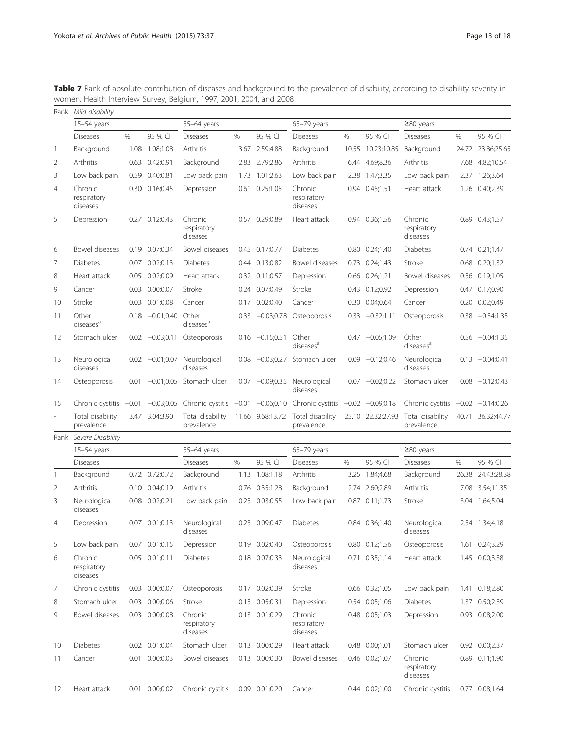|                          | Rank Mild disability               |         |                   |                                    |               |                  |                                    |       |                    |                                    |       |                      |
|--------------------------|------------------------------------|---------|-------------------|------------------------------------|---------------|------------------|------------------------------------|-------|--------------------|------------------------------------|-------|----------------------|
|                          | $15-54$ years                      |         |                   | 55-64 years                        |               |                  | $65-79$ years                      |       |                    | $\geq$ 80 years                    |       |                      |
|                          | <b>Diseases</b>                    | %       | 95 % CI           | <b>Diseases</b>                    | %             | 95 % CI          | <b>Diseases</b>                    | %     | 95 % CI            | <b>Diseases</b>                    | %     | 95 % CI              |
| $\mathbf{1}$             | Background                         |         | 1.08 1.08;1.08    | Arthritis                          | 3.67          | 2.59;4.88        | Background                         | 10.55 | 10.23;10.85        | Background                         | 24.72 | 23.86;25.65          |
| 2                        | Arthritis                          | 0.63    | 0.42:0.91         | Background                         |               | 2.83 2.79;2.86   | Arthritis                          |       | 6.44 4.69;8.36     | Arthritis                          | 7.68  | 4.82;10.54           |
| 3                        | Low back pain                      |         | 0.59 0.40;0.81    | Low back pain                      | 1.73          | 1.01:2.63        | Low back pain                      | 2.38  | 1.47;3.35          | Low back pain                      | 2.37  | 1.26;3.64            |
| $\overline{4}$           | Chronic<br>respiratory<br>diseases |         | 0.30 0.16;0.45    | Depression                         | 0.61          | 0.25;1.05        | Chronic<br>respiratory<br>diseases |       | 0.94 0.45;1.51     | Heart attack                       | 1.26  | 0.40;2.39            |
| 5                        | Depression                         |         | 0.27 0.12;0.43    | Chronic<br>respiratory<br>diseases |               | 0.57 0.29;0.89   | Heart attack                       |       | 0.94 0.36;1.56     | Chronic<br>respiratory<br>diseases |       | 0.89 0.43;1.57       |
| 6                        | Bowel diseases                     |         | 0.19 0.07;0.34    | Bowel diseases                     |               | 0.45 0.17;0.77   | <b>Diabetes</b>                    |       | $0.80$ $0.24;1.40$ | <b>Diabetes</b>                    |       | $0.74$ $0.21;1.47$   |
| $\overline{7}$           | <b>Diabetes</b>                    |         | 0.07 0.02;0.13    | <b>Diabetes</b>                    | 0.44          | 0.13;0.82        | Bowel diseases                     |       | 0.73 0.24;1.43     | Stroke                             | 0.68  | 0.20;1.32            |
| 8                        | Heart attack                       | 0.05    | 0.02;0.09         | Heart attack                       | 0.32          | 0.11;0.57        | Depression                         | 0.66  | 0.26;1.21          | Bowel diseases                     | 0.56  | 0.19;1.05            |
| 9                        | Cancer                             | 0.03    | 0.00;0.07         | Stroke                             | 0.24          | 0.07;0.49        | Stroke                             | 0.43  | 0.12;0.92          | Depression                         | 0.47  | 0.17;0.90            |
| 10                       | Stroke                             | 0.03    | 0.01;0.08         | Cancer                             | 0.17          | 0.02;0.40        | Cancer                             |       | 0.30 0.04;0.64     | Cancer                             | 0.20  | 0.02;0.49            |
| 11                       | Other<br>diseases <sup>a</sup>     | 0.18    | $-0.01;0.40$      | Other<br>diseases <sup>a</sup>     | 0.33          | $-0.03;0.78$     | Osteoporosis                       | 0.33  | $-0.32;1.11$       | Osteoporosis                       | 0.38  | $-0.34;1.35$         |
| 12                       | Stomach ulcer                      |         | $0.02 -0.03;0.11$ | Osteoporosis                       | 0.16          | $-0.15;0.51$     | Other<br>diseases <sup>a</sup>     |       | $0.47 -0.05:1.09$  | Other<br>diseases <sup>a</sup>     |       | $0.56 -0.04:1.35$    |
| 13                       | Neurological<br>diseases           |         | $0.02 -0.01;0.07$ | Neurological<br>diseases           | 0.08          |                  | $-0.03;0.27$ Stomach ulcer         |       | $0.09 -0.12;0.46$  | Neurological<br>diseases           |       | $0.13 -0.04;0.41$    |
| 14                       | Osteoporosis                       | 0.01    |                   | -0.01:0.05 Stomach ulcer           | 0.07          | $-0.09;0.35$     | Neurological<br>diseases           |       | $0.07 -0.02;0.22$  | Stomach ulcer                      |       | $0.08 -0.12;0.43$    |
| 15                       | Chronic cystitis                   | $-0.01$ | $-0.03;0.05$      | Chronic cystitis $-0.01$           |               | $-0.06;0.10$     | Chronic cystitis                   |       | $-0.02 -0.09;0.18$ | Chronic cystitis                   |       | $-0.02$ $-0.14;0.26$ |
| $\overline{\phantom{a}}$ | Total disability<br>prevalence     |         | 3.47 3.04;3.90    | Total disability<br>prevalence     |               | 11.66 9.68;13.72 | Total disability<br>prevalence     |       | 25.10 22.32;27.93  | Total disability<br>prevalence     |       | 40.71 36.32;44.77    |
|                          | Rank Severe Disability             |         |                   |                                    |               |                  |                                    |       |                    |                                    |       |                      |
|                          | $15-54$ years                      |         |                   | 55-64 years                        |               |                  | 65-79 years                        |       |                    | $\geq$ 80 years                    |       |                      |
|                          | <b>Diseases</b>                    |         |                   | <b>Diseases</b>                    | $\frac{0}{0}$ | 95 % CI          | <b>Diseases</b>                    | %     | 95 % CI            | <b>Diseases</b>                    | $\%$  | 95 % CI              |
| $\mathbf{1}$             | Background                         |         | 0.72 0.72;0.72    | Background                         | 1.13          | 1.08;1.18        | Arthritis                          | 3.25  | 1.84;4.68          | Background                         | 26.38 | 24.43;28.38          |
| 2                        | Arthritis                          |         | 0.10 0.04;0.19    | Arthritis                          | 0.76          | 0.35;1.28        | Background                         | 2.74  | 2.60;2.89          | Arthritis                          | 7.08  | 3.54;11.35           |
| 3                        | Neurological<br>diseases           |         | 0.08 0.02;0.21    | Low back pain                      | 0.25          | 0.03;0.55        | Low back pain                      |       | 0.87 0.11:1.73     | Stroke                             |       | 3.04 1.64;5.04       |
| $\overline{4}$           | Depression                         |         | 0.07 0.01;0.13    | Neurological<br>diseases           |               | 0.25 0.09;0.47   | <b>Diabetes</b>                    |       | 0.84 0.36;1.40     | Neurological<br>diseases           |       | 2.54 1.34;4.18       |
| 5                        | Low back pain                      |         | 0.07 0.01;0.15    | Depression                         |               | 0.19 0.02;0.40   | Osteoporosis                       |       | $0.80$ $0.12;1.56$ | Osteoporosis                       |       | 1.61 0.24;3.29       |
| 6                        | Chronic<br>respiratory<br>diseases |         | 0.05 0.01;0.11    | <b>Diabetes</b>                    |               | 0.18 0.07;0.33   | Neurological<br>diseases           |       | 0.71 0.35;1.14     | Heart attack                       |       | 1.45 0.00;3.38       |
| 7                        | Chronic cystitis                   |         | 0.03 0.00;0.07    | Osteoporosis                       |               | 0.17 0.02;0.39   | Stroke                             |       | 0.66 0.32;1.05     | Low back pain                      |       | 1.41 0.18;2.80       |
| 8                        | Stomach ulcer                      |         | 0.03 0.00;0.06    | Stroke                             |               | 0.15 0.05;0.31   | Depression                         |       | 0.54 0.05;1.06     | Diabetes                           |       | 1.37 0.50;2.39       |
| 9                        | Bowel diseases                     |         | 0.03 0.00;0.08    | Chronic<br>respiratory<br>diseases |               | 0.13 0.01;0.29   | Chronic<br>respiratory<br>diseases |       | 0.48 0.05;1.03     | Depression                         |       | 0.93 0.08;2.00       |
| 10                       | Diabetes                           |         | 0.02 0.01;0.04    | Stomach ulcer                      |               | 0.13 0.00;0.29   | Heart attack                       |       | 0.48 0.00;1.01     | Stomach ulcer                      |       | 0.92 0.00;2.37       |
| 11                       | Cancer                             |         | 0.01 0.00;0.03    | Bowel diseases                     |               | 0.13 0.00;0.30   | Bowel diseases                     |       | 0.46 0.02;1.07     | Chronic<br>respiratory<br>diseases |       | 0.89 0.11;1.90       |
| 12                       | Heart attack                       |         | 0.01 0.00;0.02    | Chronic cystitis                   |               | 0.09 0.01;0.20   | Cancer                             |       | 0.44 0.02;1.00     | Chronic cystitis                   |       | 0.77 0.08;1.64       |

<span id="page-12-0"></span>**Table 7** Rank of absolute contribution of diseases and background to the prevalence of disability, according to disability severity in women. Health Interview Survey, Belgium, 1997, 2001, 2004, and 2008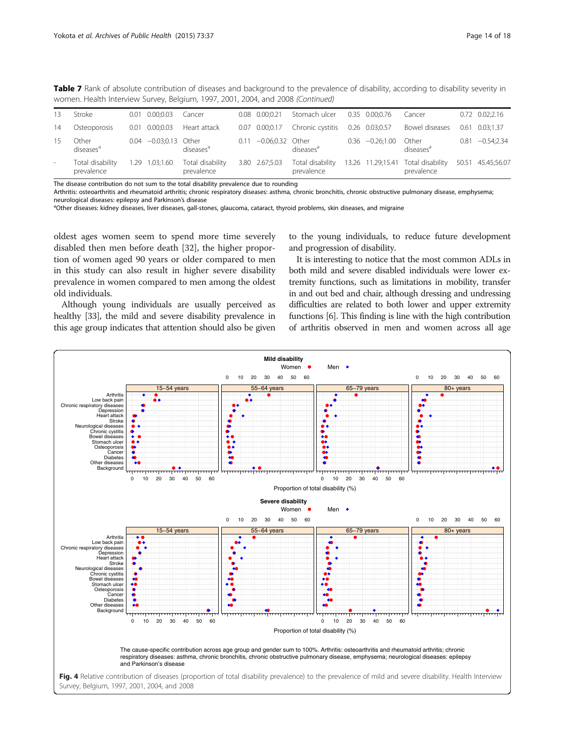<span id="page-13-0"></span>

|  |  | Table 7 Rank of absolute contribution of diseases and background to the prevalence of disability, according to disability severity in |  |  |  |  |  |
|--|--|---------------------------------------------------------------------------------------------------------------------------------------|--|--|--|--|--|
|  |  | women. Health Interview Survey, Belgium, 1997, 2001, 2004, and 2008 (Continued)                                                       |  |  |  |  |  |

| 13                       | Stroke                         | $0.01$ $0.00;0.03$      | Cancer                         |      | $0.08$ $0.00:0.21$ | Stomach ulcer                   | 0.35 0.00:0.76    | Cancer                                           | $0.72$ $0.02;2.16$ |
|--------------------------|--------------------------------|-------------------------|--------------------------------|------|--------------------|---------------------------------|-------------------|--------------------------------------------------|--------------------|
| 14                       | Osteoporosis                   | $0.01$ $0.00:0.03$      | Heart attack                   |      |                    | 0.07 0.00;0.17 Chronic cystitis | 0.26 0.03;0.57    | Bowel diseases                                   | $0.61$ $0.03:1.37$ |
| 15                       | Other<br>diseases <sup>a</sup> | $0.04 -0.03;0.13$ Other | diseases <sup>a</sup>          | 0.11 | -0.06;0.32 Other   | diseases <sup>a</sup>           | $0.36 -0.26;1.00$ | Other<br>diseases <sup>a</sup>                   | $0.81 -0.54:2.34$  |
| $\overline{\phantom{a}}$ | Total disability<br>prevalence | 1.29 1.03;1.60          | Total disability<br>prevalence |      | 3.80 2.67;5.03     | Total disability<br>prevalence  |                   | 13.26 11.29;15.41 Total disability<br>prevalence | 50.51 45.45;56.07  |

The disease contribution do not sum to the total disability prevalence due to rounding

Arthritis: osteoarthritis and rheumatoid arthritis; chronic respiratory diseases: asthma, chronic bronchitis, chronic obstructive pulmonary disease, emphysema; neurological diseases: epilepsy and Parkinson's disease

<sup>a</sup>Other diseases: kidney diseases, liver diseases, gall-stones, glaucoma, cataract, thyroid problems, skin diseases, and migraine

oldest ages women seem to spend more time severely disabled then men before death [[32\]](#page-17-0), the higher proportion of women aged 90 years or older compared to men in this study can also result in higher severe disability prevalence in women compared to men among the oldest old individuals.

Although young individuals are usually perceived as healthy [\[33\]](#page-17-0), the mild and severe disability prevalence in this age group indicates that attention should also be given to the young individuals, to reduce future development and progression of disability.

It is interesting to notice that the most common ADLs in both mild and severe disabled individuals were lower extremity functions, such as limitations in mobility, transfer in and out bed and chair, although dressing and undressing difficulties are related to both lower and upper extremity functions [[6](#page-16-0)]. This finding is line with the high contribution of arthritis observed in men and women across all age

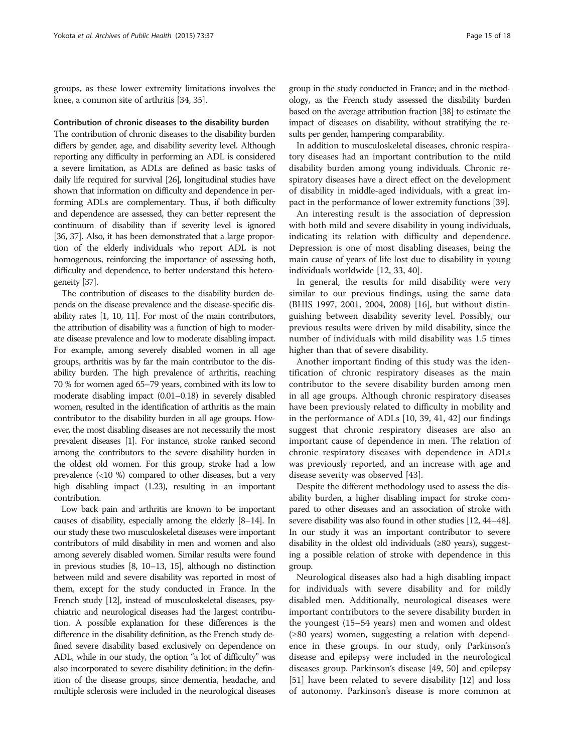groups, as these lower extremity limitations involves the knee, a common site of arthritis [\[34](#page-17-0), [35](#page-17-0)].

# Contribution of chronic diseases to the disability burden

The contribution of chronic diseases to the disability burden differs by gender, age, and disability severity level. Although reporting any difficulty in performing an ADL is considered a severe limitation, as ADLs are defined as basic tasks of daily life required for survival [\[26](#page-17-0)], longitudinal studies have shown that information on difficulty and dependence in performing ADLs are complementary. Thus, if both difficulty and dependence are assessed, they can better represent the continuum of disability than if severity level is ignored [[36, 37](#page-17-0)]. Also, it has been demonstrated that a large proportion of the elderly individuals who report ADL is not homogenous, reinforcing the importance of assessing both, difficulty and dependence, to better understand this heterogeneity [\[37\]](#page-17-0).

The contribution of diseases to the disability burden depends on the disease prevalence and the disease-specific disability rates [\[1, 10, 11](#page-16-0)]. For most of the main contributors, the attribution of disability was a function of high to moderate disease prevalence and low to moderate disabling impact. For example, among severely disabled women in all age groups, arthritis was by far the main contributor to the disability burden. The high prevalence of arthritis, reaching 70 % for women aged 65–79 years, combined with its low to moderate disabling impact (0.01–0.18) in severely disabled women, resulted in the identification of arthritis as the main contributor to the disability burden in all age groups. However, the most disabling diseases are not necessarily the most prevalent diseases [[1](#page-16-0)]. For instance, stroke ranked second among the contributors to the severe disability burden in the oldest old women. For this group, stroke had a low prevalence (<10 %) compared to other diseases, but a very high disabling impact (1.23), resulting in an important contribution.

Low back pain and arthritis are known to be important causes of disability, especially among the elderly [\[8](#page-16-0)–[14](#page-16-0)]. In our study these two musculoskeletal diseases were important contributors of mild disability in men and women and also among severely disabled women. Similar results were found in previous studies [[8](#page-16-0), [10](#page-16-0)–[13](#page-16-0), [15\]](#page-17-0), although no distinction between mild and severe disability was reported in most of them, except for the study conducted in France. In the French study [\[12\]](#page-16-0), instead of musculoskeletal diseases, psychiatric and neurological diseases had the largest contribution. A possible explanation for these differences is the difference in the disability definition, as the French study defined severe disability based exclusively on dependence on ADL, while in our study, the option "a lot of difficulty" was also incorporated to severe disability definition; in the definition of the disease groups, since dementia, headache, and multiple sclerosis were included in the neurological diseases

group in the study conducted in France; and in the methodology, as the French study assessed the disability burden based on the average attribution fraction [\[38\]](#page-17-0) to estimate the impact of diseases on disability, without stratifying the results per gender, hampering comparability.

In addition to musculoskeletal diseases, chronic respiratory diseases had an important contribution to the mild disability burden among young individuals. Chronic respiratory diseases have a direct effect on the development of disability in middle-aged individuals, with a great impact in the performance of lower extremity functions [[39](#page-17-0)].

An interesting result is the association of depression with both mild and severe disability in young individuals, indicating its relation with difficulty and dependence. Depression is one of most disabling diseases, being the main cause of years of life lost due to disability in young individuals worldwide [\[12](#page-16-0), [33](#page-17-0), [40\]](#page-17-0).

In general, the results for mild disability were very similar to our previous findings, using the same data (BHIS 1997, 2001, 2004, 2008) [\[16](#page-17-0)], but without distinguishing between disability severity level. Possibly, our previous results were driven by mild disability, since the number of individuals with mild disability was 1.5 times higher than that of severe disability.

Another important finding of this study was the identification of chronic respiratory diseases as the main contributor to the severe disability burden among men in all age groups. Although chronic respiratory diseases have been previously related to difficulty in mobility and in the performance of ADLs [[10](#page-16-0), [39](#page-17-0), [41](#page-17-0), [42\]](#page-17-0) our findings suggest that chronic respiratory diseases are also an important cause of dependence in men. The relation of chronic respiratory diseases with dependence in ADLs was previously reported, and an increase with age and disease severity was observed [[43\]](#page-17-0).

Despite the different methodology used to assess the disability burden, a higher disabling impact for stroke compared to other diseases and an association of stroke with severe disability was also found in other studies [\[12](#page-16-0), [44](#page-17-0)–[48](#page-17-0)]. In our study it was an important contributor to severe disability in the oldest old individuals (≥80 years), suggesting a possible relation of stroke with dependence in this group.

Neurological diseases also had a high disabling impact for individuals with severe disability and for mildly disabled men. Additionally, neurological diseases were important contributors to the severe disability burden in the youngest (15–54 years) men and women and oldest (≥80 years) women, suggesting a relation with dependence in these groups. In our study, only Parkinson's disease and epilepsy were included in the neurological diseases group. Parkinson's disease [\[49](#page-17-0), [50\]](#page-17-0) and epilepsy [[51\]](#page-17-0) have been related to severe disability [\[12](#page-16-0)] and loss of autonomy. Parkinson's disease is more common at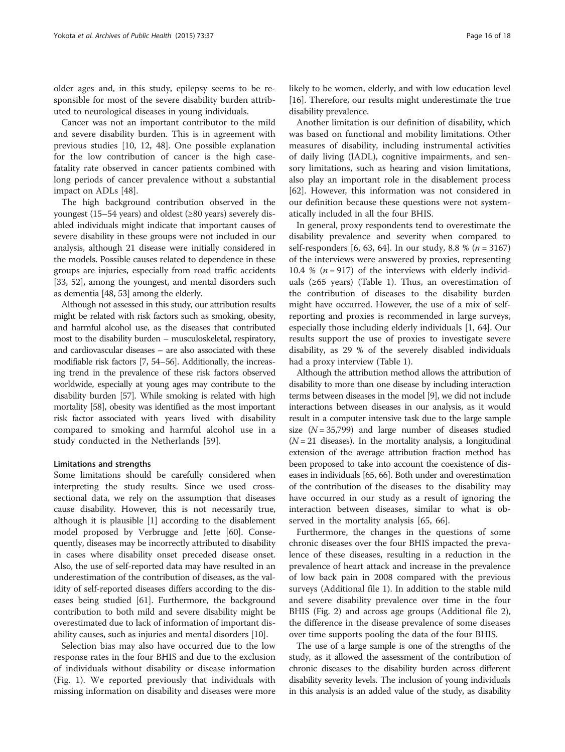older ages and, in this study, epilepsy seems to be responsible for most of the severe disability burden attributed to neurological diseases in young individuals.

Cancer was not an important contributor to the mild and severe disability burden. This is in agreement with previous studies [[10, 12,](#page-16-0) [48](#page-17-0)]. One possible explanation for the low contribution of cancer is the high casefatality rate observed in cancer patients combined with long periods of cancer prevalence without a substantial impact on ADLs [[48](#page-17-0)].

The high background contribution observed in the youngest (15–54 years) and oldest (≥80 years) severely disabled individuals might indicate that important causes of severe disability in these groups were not included in our analysis, although 21 disease were initially considered in the models. Possible causes related to dependence in these groups are injuries, especially from road traffic accidents [[33](#page-17-0), [52\]](#page-17-0), among the youngest, and mental disorders such as dementia [\[48, 53](#page-17-0)] among the elderly.

Although not assessed in this study, our attribution results might be related with risk factors such as smoking, obesity, and harmful alcohol use, as the diseases that contributed most to the disability burden – musculoskeletal, respiratory, and cardiovascular diseases – are also associated with these modifiable risk factors [[7](#page-16-0), [54](#page-17-0)–[56\]](#page-17-0). Additionally, the increasing trend in the prevalence of these risk factors observed worldwide, especially at young ages may contribute to the disability burden [\[57\]](#page-17-0). While smoking is related with high mortality [\[58](#page-17-0)], obesity was identified as the most important risk factor associated with years lived with disability compared to smoking and harmful alcohol use in a study conducted in the Netherlands [\[59](#page-17-0)].

# Limitations and strengths

Some limitations should be carefully considered when interpreting the study results. Since we used crosssectional data, we rely on the assumption that diseases cause disability. However, this is not necessarily true, although it is plausible [\[1](#page-16-0)] according to the disablement model proposed by Verbrugge and Jette [\[60\]](#page-17-0). Consequently, diseases may be incorrectly attributed to disability in cases where disability onset preceded disease onset. Also, the use of self-reported data may have resulted in an underestimation of the contribution of diseases, as the validity of self-reported diseases differs according to the diseases being studied [[61](#page-17-0)]. Furthermore, the background contribution to both mild and severe disability might be overestimated due to lack of information of important disability causes, such as injuries and mental disorders [[10](#page-16-0)].

Selection bias may also have occurred due to the low response rates in the four BHIS and due to the exclusion of individuals without disability or disease information (Fig. [1\)](#page-2-0). We reported previously that individuals with missing information on disability and diseases were more

Another limitation is our definition of disability, which was based on functional and mobility limitations. Other measures of disability, including instrumental activities of daily living (IADL), cognitive impairments, and sensory limitations, such as hearing and vision limitations, also play an important role in the disablement process [[62\]](#page-17-0). However, this information was not considered in our definition because these questions were not systematically included in all the four BHIS.

In general, proxy respondents tend to overestimate the disability prevalence and severity when compared to self-responders [[6,](#page-16-0) [63, 64\]](#page-17-0). In our study, 8.8 % ( $n = 3167$ ) of the interviews were answered by proxies, representing 10.4 %  $(n = 917)$  of the interviews with elderly individuals ( $\geq 65$  years) (Table [1\)](#page-4-0). Thus, an overestimation of the contribution of diseases to the disability burden might have occurred. However, the use of a mix of selfreporting and proxies is recommended in large surveys, especially those including elderly individuals [\[1](#page-16-0), [64](#page-17-0)]. Our results support the use of proxies to investigate severe disability, as 29 % of the severely disabled individuals had a proxy interview (Table [1](#page-4-0)).

Although the attribution method allows the attribution of disability to more than one disease by including interaction terms between diseases in the model [\[9](#page-16-0)], we did not include interactions between diseases in our analysis, as it would result in a computer intensive task due to the large sample size  $(N = 35,799)$  and large number of diseases studied  $(N = 21)$  diseases). In the mortality analysis, a longitudinal extension of the average attribution fraction method has been proposed to take into account the coexistence of diseases in individuals [\[65, 66\]](#page-17-0). Both under and overestimation of the contribution of the diseases to the disability may have occurred in our study as a result of ignoring the interaction between diseases, similar to what is observed in the mortality analysis [\[65](#page-17-0), [66](#page-17-0)].

Furthermore, the changes in the questions of some chronic diseases over the four BHIS impacted the prevalence of these diseases, resulting in a reduction in the prevalence of heart attack and increase in the prevalence of low back pain in 2008 compared with the previous surveys (Additional file [1](#page-16-0)). In addition to the stable mild and severe disability prevalence over time in the four BHIS (Fig. [2\)](#page-5-0) and across age groups (Additional file [2](#page-16-0)), the difference in the disease prevalence of some diseases over time supports pooling the data of the four BHIS.

The use of a large sample is one of the strengths of the study, as it allowed the assessment of the contribution of chronic diseases to the disability burden across different disability severity levels. The inclusion of young individuals in this analysis is an added value of the study, as disability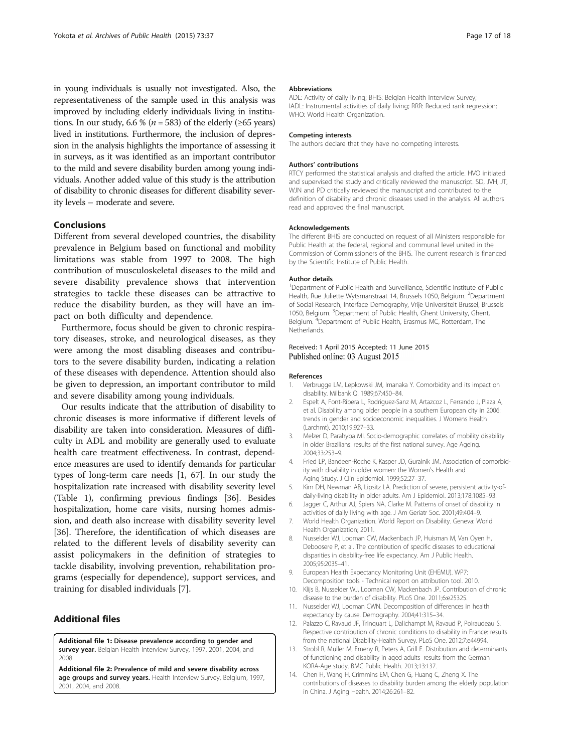<span id="page-16-0"></span>in young individuals is usually not investigated. Also, the representativeness of the sample used in this analysis was improved by including elderly individuals living in institutions. In our study, 6.6 % ( $n = 583$ ) of the elderly (≥65 years) lived in institutions. Furthermore, the inclusion of depression in the analysis highlights the importance of assessing it in surveys, as it was identified as an important contributor to the mild and severe disability burden among young individuals. Another added value of this study is the attribution of disability to chronic diseases for different disability severity levels – moderate and severe.

# Conclusions

Different from several developed countries, the disability prevalence in Belgium based on functional and mobility limitations was stable from 1997 to 2008. The high contribution of musculoskeletal diseases to the mild and severe disability prevalence shows that intervention strategies to tackle these diseases can be attractive to reduce the disability burden, as they will have an impact on both difficulty and dependence.

Furthermore, focus should be given to chronic respiratory diseases, stroke, and neurological diseases, as they were among the most disabling diseases and contributors to the severe disability burden, indicating a relation of these diseases with dependence. Attention should also be given to depression, an important contributor to mild and severe disability among young individuals.

Our results indicate that the attribution of disability to chronic diseases is more informative if different levels of disability are taken into consideration. Measures of difficulty in ADL and mobility are generally used to evaluate health care treatment effectiveness. In contrast, dependence measures are used to identify demands for particular types of long-term care needs [1, [67\]](#page-17-0). In our study the hospitalization rate increased with disability severity level (Table [1](#page-4-0)), confirming previous findings [\[36\]](#page-17-0). Besides hospitalization, home care visits, nursing homes admission, and death also increase with disability severity level [[36\]](#page-17-0). Therefore, the identification of which diseases are related to the different levels of disability severity can assist policymakers in the definition of strategies to tackle disability, involving prevention, rehabilitation programs (especially for dependence), support services, and training for disabled individuals [7].

## Additional files

[Additional file 1:](http://www.archpublichealth.com/content/supplementary/s13690-015-0083-y-s1.docx) Disease prevalence according to gender and survey year. Belgian Health Interview Survey, 1997, 2001, 2004, and 2008.

[Additional file 2:](http://www.archpublichealth.com/content/supplementary/s13690-015-0083-y-s2.pdf) Prevalence of mild and severe disability across age groups and survey years. Health Interview Survey, Belgium, 1997, 2001, 2004, and 2008.

#### Abbreviations

ADL: Activity of daily living; BHIS: Belgian Health Interview Survey; IADL: Instrumental activities of daily living; RRR: Reduced rank regression; WHO: World Health Organization.

#### Competing interests

The authors declare that they have no competing interests.

#### Authors' contributions

RTCY performed the statistical analysis and drafted the article. HVO initiated and supervised the study and critically reviewed the manuscript. SD, JVH, JT, WJN and PD critically reviewed the manuscript and contributed to the definition of disability and chronic diseases used in the analysis. All authors read and approved the final manuscript.

#### Acknowledgements

The different BHIS are conducted on request of all Ministers responsible for Public Health at the federal, regional and communal level united in the Commission of Commissioners of the BHIS. The current research is financed by the Scientific Institute of Public Health.

#### Author details

<sup>1</sup>Department of Public Health and Surveillance, Scientific Institute of Public Health, Rue Juliette Wytsmanstraat 14, Brussels 1050, Belgium. <sup>2</sup>Department of Social Research, Interface Demography, Vrije Universiteit Brussel, Brussels 1050, Belgium. <sup>3</sup>Department of Public Health, Ghent University, Ghent, Belgium. <sup>4</sup>Department of Public Health, Erasmus MC, Rotterdam, The Netherlands.

## Received: 1 April 2015 Accepted: 11 June 2015 Published online: 03 August 2015

#### References

- 1. Verbrugge LM, Lepkowski JM, Imanaka Y. Comorbidity and its impact on disability. Milbank Q. 1989;67:450–84.
- 2. Espelt A, Font-Ribera L, Rodriguez-Sanz M, Artazcoz L, Ferrando J, Plaza A, et al. Disability among older people in a southern European city in 2006: trends in gender and socioeconomic inequalities. J Womens Health (Larchmt). 2010;19:927–33.
- 3. Melzer D, Parahyba MI. Socio-demographic correlates of mobility disability in older Brazilians: results of the first national survey. Age Ageing. 2004;33:253–9.
- 4. Fried LP, Bandeen-Roche K, Kasper JD, Guralnik JM. Association of comorbidity with disability in older women: the Women's Health and Aging Study. J Clin Epidemiol. 1999;52:27–37.
- 5. Kim DH, Newman AB, Lipsitz LA. Prediction of severe, persistent activity-ofdaily-living disability in older adults. Am J Epidemiol. 2013;178:1085–93.
- 6. Jagger C, Arthur AJ, Spiers NA, Clarke M. Patterns of onset of disability in activities of daily living with age. J Am Geriatr Soc. 2001;49:404–9.
- 7. World Health Organization. World Report on Disability. Geneva: World Health Organization; 2011.
- 8. Nusselder WJ, Looman CW, Mackenbach JP, Huisman M, Van Oyen H, Deboosere P, et al. The contribution of specific diseases to educational disparities in disability-free life expectancy. Am J Public Health. 2005;95:2035–41.
- 9. European Health Expectancy Monitoring Unit (EHEMU). WP7: Decomposition tools - Technical report on attribution tool. 2010.
- 10. Klijs B, Nusselder WJ, Looman CW, Mackenbach JP. Contribution of chronic disease to the burden of disability. PLoS One. 2011;6:e25325.
- 11. Nusselder WJ, Looman CWN. Decomposition of differences in health expectancy by cause. Demography. 2004;41:315–34.
- 12. Palazzo C, Ravaud JF, Trinquart L, Dalichampt M, Ravaud P, Poiraudeau S. Respective contribution of chronic conditions to disability in France: results from the national Disability-Health Survey. PLoS One. 2012;7:e44994.
- 13. Strobl R, Muller M, Emeny R, Peters A, Grill E. Distribution and determinants of functioning and disability in aged adults–results from the German KORA-Age study. BMC Public Health. 2013;13:137.
- 14. Chen H, Wang H, Crimmins EM, Chen G, Huang C, Zheng X. The contributions of diseases to disability burden among the elderly population in China. J Aging Health. 2014;26:261–82.